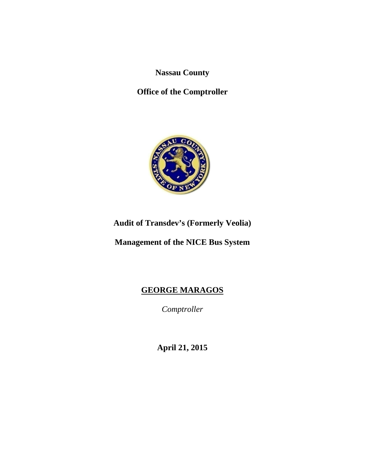**Nassau County** 

**Office of the Comptroller** 



**Audit of Transdev's (Formerly Veolia)** 

**Management of the NICE Bus System** 

# **GEORGE MARAGOS**

*Comptroller* 

**April 21, 2015**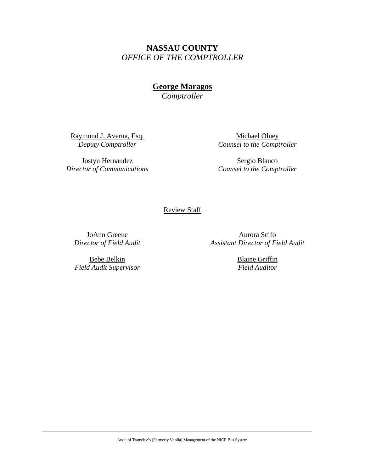**NASSAU COUNTY**  *OFFICE OF THE COMPTROLLER* 

**George Maragos** 

*Comptroller* 

Raymond J. Averna, Esq. *Deputy Comptroller*

Jostyn Hernandez *Director of Communications* 

Michael Olney *Counsel to the Comptroller* 

Sergio Blanco *Counsel to the Comptroller* 

Review Staff

JoAnn Greene *Director of Field Audit* 

Aurora Scifo *Assistant Director of Field Audit* 

Bebe Belkin *Field Audit Supervisor*  Blaine Griffin *Field Auditor*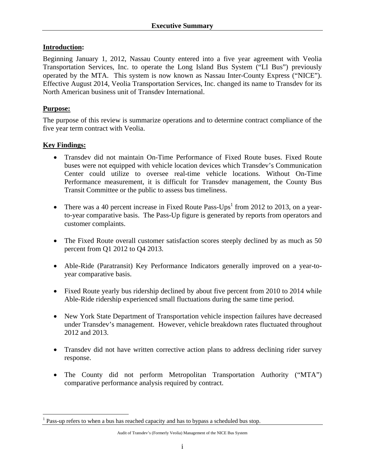## **Introduction:**

Beginning January 1, 2012, Nassau County entered into a five year agreement with Veolia Transportation Services, Inc. to operate the Long Island Bus System ("LI Bus") previously operated by the MTA. This system is now known as Nassau Inter-County Express ("NICE"). Effective August 2014, Veolia Transportation Services, Inc. changed its name to Transdev for its North American business unit of Transdev International.

## **Purpose:**

 $\overline{a}$ 

The purpose of this review is summarize operations and to determine contract compliance of the five year term contract with Veolia.

## **Key Findings:**

- Transdev did not maintain On-Time Performance of Fixed Route buses. Fixed Route buses were not equipped with vehicle location devices which Transdev's Communication Center could utilize to oversee real-time vehicle locations. Without On-Time Performance measurement, it is difficult for Transdev management, the County Bus Transit Committee or the public to assess bus timeliness.
- There was a 40 percent increase in Fixed Route Pass-Ups<sup>1</sup> from 2012 to 2013, on a yearto-year comparative basis. The Pass-Up figure is generated by reports from operators and customer complaints.
- The Fixed Route overall customer satisfaction scores steeply declined by as much as 50 percent from Q1 2012 to Q4 2013.
- Able-Ride (Paratransit) Key Performance Indicators generally improved on a year-toyear comparative basis.
- Fixed Route yearly bus ridership declined by about five percent from 2010 to 2014 while Able-Ride ridership experienced small fluctuations during the same time period.
- New York State Department of Transportation vehicle inspection failures have decreased under Transdev's management. However, vehicle breakdown rates fluctuated throughout 2012 and 2013.
- Transdev did not have written corrective action plans to address declining rider survey response.
- The County did not perform Metropolitan Transportation Authority ("MTA") comparative performance analysis required by contract.

<sup>1</sup> Pass-up refers to when a bus has reached capacity and has to bypass a scheduled bus stop.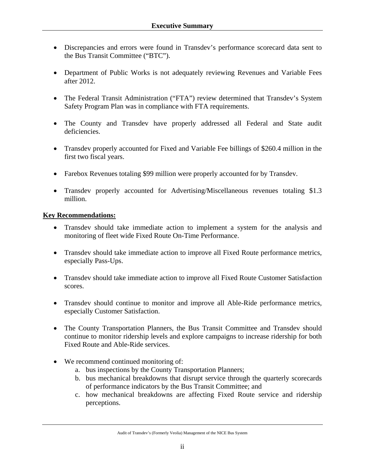- Discrepancies and errors were found in Transdev's performance scorecard data sent to the Bus Transit Committee ("BTC").
- Department of Public Works is not adequately reviewing Revenues and Variable Fees after 2012.
- The Federal Transit Administration ("FTA") review determined that Transdev's System Safety Program Plan was in compliance with FTA requirements.
- The County and Transdev have properly addressed all Federal and State audit deficiencies.
- Transdev properly accounted for Fixed and Variable Fee billings of \$260.4 million in the first two fiscal years.
- Farebox Revenues totaling \$99 million were properly accounted for by Transdev.
- Transdev properly accounted for Advertising/Miscellaneous revenues totaling \$1.3 million.

#### **Key Recommendations:**

- Transdev should take immediate action to implement a system for the analysis and monitoring of fleet wide Fixed Route On-Time Performance.
- Transdev should take immediate action to improve all Fixed Route performance metrics, especially Pass-Ups.
- Transdev should take immediate action to improve all Fixed Route Customer Satisfaction scores.
- Transdev should continue to monitor and improve all Able-Ride performance metrics, especially Customer Satisfaction.
- The County Transportation Planners, the Bus Transit Committee and Transdev should continue to monitor ridership levels and explore campaigns to increase ridership for both Fixed Route and Able-Ride services.
- We recommend continued monitoring of:
	- a. bus inspections by the County Transportation Planners;
	- b. bus mechanical breakdowns that disrupt service through the quarterly scorecards of performance indicators by the Bus Transit Committee; and
	- c. how mechanical breakdowns are affecting Fixed Route service and ridership perceptions.

Audit of Transdev's (Formerly Veolia) Management of the NICE Bus System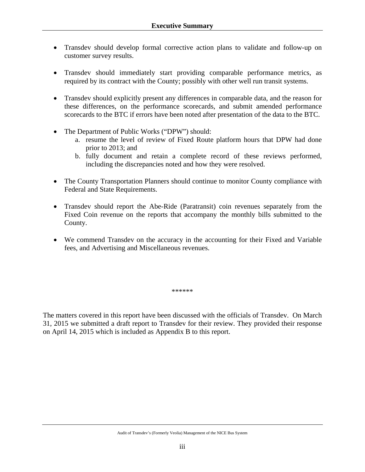- Transdev should develop formal corrective action plans to validate and follow-up on customer survey results.
- Transdev should immediately start providing comparable performance metrics, as required by its contract with the County; possibly with other well run transit systems.
- Transdev should explicitly present any differences in comparable data, and the reason for these differences, on the performance scorecards, and submit amended performance scorecards to the BTC if errors have been noted after presentation of the data to the BTC.
- The Department of Public Works ("DPW") should:
	- a. resume the level of review of Fixed Route platform hours that DPW had done prior to 2013; and
	- b. fully document and retain a complete record of these reviews performed, including the discrepancies noted and how they were resolved.
- The County Transportation Planners should continue to monitor County compliance with Federal and State Requirements.
- Transdev should report the Abe-Ride (Paratransit) coin revenues separately from the Fixed Coin revenue on the reports that accompany the monthly bills submitted to the County.
- We commend Transdev on the accuracy in the accounting for their Fixed and Variable fees, and Advertising and Miscellaneous revenues.

\*\*\*\*\*\*

The matters covered in this report have been discussed with the officials of Transdev. On March 31, 2015 we submitted a draft report to Transdev for their review. They provided their response on April 14, 2015 which is included as Appendix B to this report.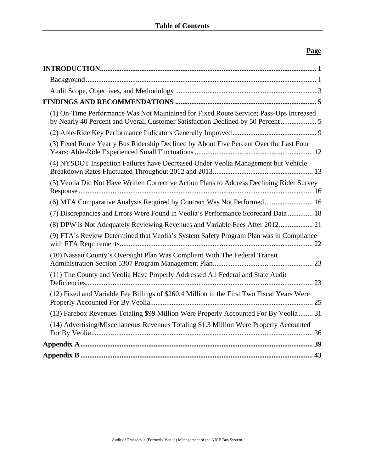## **Page**

| (1) On-Time Performance Was Not Maintained for Fixed Route Service; Pass-Ups Increased<br>by Nearly 40 Percent and Overall Customer Satisfaction Declined by 50 Percent |  |
|-------------------------------------------------------------------------------------------------------------------------------------------------------------------------|--|
|                                                                                                                                                                         |  |
| (3) Fixed Route Yearly Bus Ridership Declined by About Five Percent Over the Last Four                                                                                  |  |
| (4) NYSDOT Inspection Failures have Decreased Under Veolia Management but Vehicle                                                                                       |  |
| (5) Veolia Did Not Have Written Corrective Action Plans to Address Declining Rider Survey                                                                               |  |
| (6) MTA Comparative Analysis Required by Contract Was Not Performed 16                                                                                                  |  |
| (7) Discrepancies and Errors Were Found in Veolia's Performance Scorecard Data  18                                                                                      |  |
| (8) DPW is Not Adequately Reviewing Revenues and Variable Fees After 2012 21                                                                                            |  |
| (9) FTA's Review Determined that Veolia's System Safety Program Plan was in Compliance                                                                                  |  |
| (10) Nassau County's Oversight Plan Was Compliant With The Federal Transit                                                                                              |  |
| (11) The County and Veolia Have Properly Addressed All Federal and State Audit                                                                                          |  |
| (12) Fixed and Variable Fee Billings of \$260.4 Million in the First Two Fiscal Years Were                                                                              |  |
| (13) Farebox Revenues Totaling \$99 Million Were Properly Accounted For By Veolia 31                                                                                    |  |
| (14) Advertising/Miscellaneous Revenues Totaling \$1.3 Million Were Properly Accounted                                                                                  |  |
|                                                                                                                                                                         |  |
|                                                                                                                                                                         |  |
|                                                                                                                                                                         |  |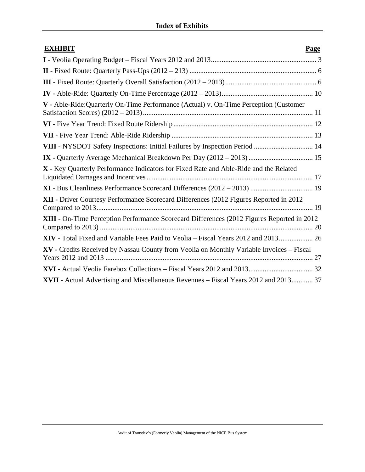| <b>EXHIBIT</b>                                                                             | Page |
|--------------------------------------------------------------------------------------------|------|
|                                                                                            |      |
|                                                                                            |      |
|                                                                                            |      |
|                                                                                            |      |
| V - Able-Ride:Quarterly On-Time Performance (Actual) v. On-Time Perception (Customer       |      |
|                                                                                            |      |
|                                                                                            |      |
| VIII - NYSDOT Safety Inspections: Initial Failures by Inspection Period  14                |      |
|                                                                                            |      |
| X - Key Quarterly Performance Indicators for Fixed Rate and Able-Ride and the Related      |      |
| XI - Bus Cleanliness Performance Scorecard Differences (2012 - 2013)  19                   |      |
| XII - Driver Courtesy Performance Scorecard Differences (2012 Figures Reported in 2012     |      |
| XIII - On-Time Perception Performance Scorecard Differences (2012 Figures Reported in 2012 |      |
| XIV - Total Fixed and Variable Fees Paid to Veolia - Fiscal Years 2012 and 2013 26         |      |
| XV - Credits Received by Nassau County from Veolia on Monthly Variable Invoices - Fiscal   |      |
|                                                                                            |      |
| XVII - Actual Advertising and Miscellaneous Revenues - Fiscal Years 2012 and 2013 37       |      |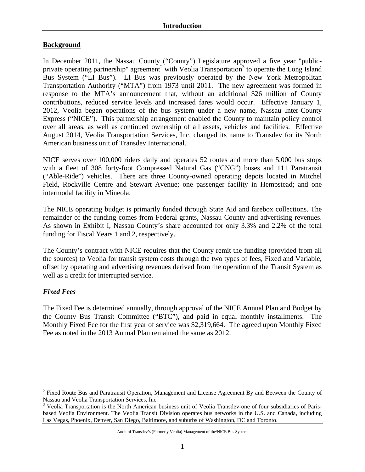## **Background**

In December 2011, the Nassau County ("County") Legislature approved a five year "publicprivate operating partnership" agreement<sup>2</sup> with Veolia Transportation<sup>3</sup> to operate the Long Island Bus System ("LI Bus"). LI Bus was previously operated by the New York Metropolitan Transportation Authority ("MTA") from 1973 until 2011. The new agreement was formed in response to the MTA's announcement that, without an additional \$26 million of County contributions, reduced service levels and increased fares would occur. Effective January 1, 2012, Veolia began operations of the bus system under a new name, Nassau Inter-County Express ("NICE"). This partnership arrangement enabled the County to maintain policy control over all areas, as well as continued ownership of all assets, vehicles and facilities. Effective August 2014, Veolia Transportation Services, Inc. changed its name to Transdev for its North American business unit of Transdev International.

NICE serves over 100,000 riders daily and operates 52 routes and more than 5,000 bus stops with a fleet of 308 forty-foot Compressed Natural Gas ("CNG") buses and 111 Paratransit ("Able-Ride") vehicles. There are three County-owned operating depots located in Mitchel Field, Rockville Centre and Stewart Avenue; one passenger facility in Hempstead; and one intermodal facility in Mineola.

The NICE operating budget is primarily funded through State Aid and farebox collections. The remainder of the funding comes from Federal grants, Nassau County and advertising revenues. As shown in Exhibit I, Nassau County's share accounted for only 3.3% and 2.2% of the total funding for Fiscal Years 1 and 2, respectively.

The County's contract with NICE requires that the County remit the funding (provided from all the sources) to Veolia for transit system costs through the two types of fees, Fixed and Variable, offset by operating and advertising revenues derived from the operation of the Transit System as well as a credit for interrupted service.

## *Fixed Fees*

 $\overline{a}$ 

The Fixed Fee is determined annually, through approval of the NICE Annual Plan and Budget by the County Bus Transit Committee ("BTC"), and paid in equal monthly installments. The Monthly Fixed Fee for the first year of service was \$2,319,664. The agreed upon Monthly Fixed Fee as noted in the 2013 Annual Plan remained the same as 2012.

 $2$  Fixed Route Bus and Paratransit Operation, Management and License Agreement By and Between the County of Nassau and Veolia Transportation Services, Inc.<br><sup>3</sup> Veolia Transportation is the North American business unit of Veolia Transdev-one of four subsidiaries of Paris-

based Veolia Environment. The Veolia Transit Division operates bus networks in the U.S. and Canada, including Las Vegas, Phoenix, Denver, San Diego, Baltimore, and suburbs of Washington, DC and Toronto.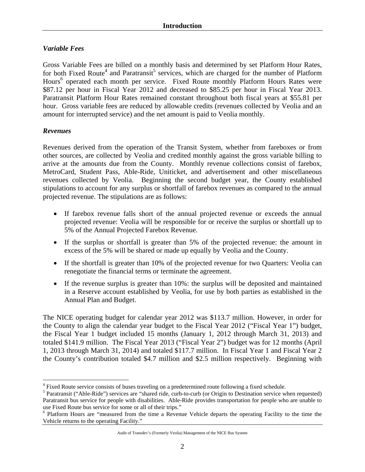## *Variable Fees*

Gross Variable Fees are billed on a monthly basis and determined by set Platform Hour Rates, for both Fixed Route<sup>4</sup> and Paratransit<sup>5</sup> services, which are charged for the number of Platform Hours<sup>6</sup> operated each month per service. Fixed Route monthly Platform Hours Rates were \$87.12 per hour in Fiscal Year 2012 and decreased to \$85.25 per hour in Fiscal Year 2013. Paratransit Platform Hour Rates remained constant throughout both fiscal years at \$55.81 per hour. Gross variable fees are reduced by allowable credits (revenues collected by Veolia and an amount for interrupted service) and the net amount is paid to Veolia monthly.

## *Revenues*

 $\overline{a}$ 

Revenues derived from the operation of the Transit System, whether from fareboxes or from other sources, are collected by Veolia and credited monthly against the gross variable billing to arrive at the amounts due from the County. Monthly revenue collections consist of farebox, MetroCard, Student Pass, Able-Ride, Uniticket, and advertisement and other miscellaneous revenues collected by Veolia. Beginning the second budget year, the County established stipulations to account for any surplus or shortfall of farebox revenues as compared to the annual projected revenue. The stipulations are as follows:

- If farebox revenue falls short of the annual projected revenue or exceeds the annual projected revenue: Veolia will be responsible for or receive the surplus or shortfall up to 5% of the Annual Projected Farebox Revenue.
- If the surplus or shortfall is greater than 5% of the projected revenue: the amount in excess of the 5% will be shared or made up equally by Veolia and the County.
- If the shortfall is greater than 10% of the projected revenue for two Quarters: Veolia can renegotiate the financial terms or terminate the agreement.
- If the revenue surplus is greater than 10%: the surplus will be deposited and maintained in a Reserve account established by Veolia, for use by both parties as established in the Annual Plan and Budget.

The NICE operating budget for calendar year 2012 was \$113.7 million. However, in order for the County to align the calendar year budget to the Fiscal Year 2012 ("Fiscal Year 1") budget, the Fiscal Year 1 budget included 15 months (January 1, 2012 through March 31, 2013) and totaled \$141.9 million. The Fiscal Year 2013 ("Fiscal Year 2") budget was for 12 months (April 1, 2013 through March 31, 2014) and totaled \$117.7 million. In Fiscal Year 1 and Fiscal Year 2 the County's contribution totaled \$4.7 million and \$2.5 million respectively. Beginning with

<sup>&</sup>lt;sup>4</sup> Fixed Route service consists of buses traveling on a predetermined route following a fixed schedule.

<sup>&</sup>lt;sup>5</sup> Paratransit ("Able-Ride") services are "shared ride, curb-to-curb (or Origin to Destination service when requested) Paratransit bus service for people with disabilities. Able-Ride provides transportation for people who are unable to use Fixed Route bus service for some or all of their trips."

<sup>&</sup>lt;sup>6</sup> Platform Hours are "measured from the time a Revenue Vehicle departs the operating Facility to the time the Vehicle returns to the operating Facility."

Audit of Transdev's (Formerly Veolia) Management of the NICE Bus System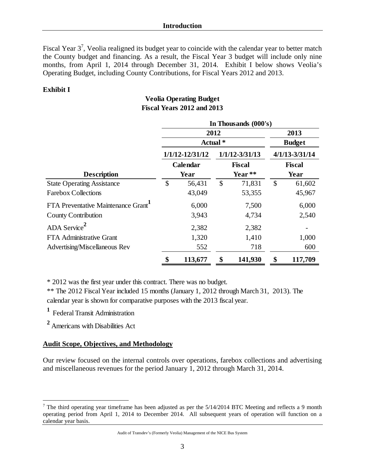Fiscal Year  $3^7$ , Veolia realigned its budget year to coincide with the calendar year to better match the County budget and financing. As a result, the Fiscal Year 3 budget will include only nine months, from April 1, 2014 through December 31, 2014. Exhibit I below shows Veolia's Operating Budget, including County Contributions, for Fiscal Years 2012 and 2013.

#### **Exhibit I**

## **Veolia Operating Budget Fiscal Years 2012 and 2013**

|                                    | In Thousands (000's) |                     |                       |                    |                                     |         |  |  |  |
|------------------------------------|----------------------|---------------------|-----------------------|--------------------|-------------------------------------|---------|--|--|--|
|                                    |                      | 2012                | 2013<br><b>Budget</b> |                    |                                     |         |  |  |  |
|                                    |                      | Actual *            |                       |                    |                                     |         |  |  |  |
|                                    |                      | $1/1/12 - 12/31/12$ |                       | $1/1/12 - 3/31/13$ | $4/1/13 - 3/31/14$<br><b>Fiscal</b> |         |  |  |  |
|                                    |                      | Calendar            |                       | <b>Fiscal</b>      |                                     |         |  |  |  |
| <b>Description</b>                 |                      | Year                |                       | Year **            | Year                                |         |  |  |  |
| <b>State Operating Assistance</b>  | \$                   | 56,431              | $\mathcal{S}$         | 71,831             | \$                                  | 61,602  |  |  |  |
| <b>Farebox Collections</b>         |                      | 43,049              |                       | 53,355             |                                     | 45,967  |  |  |  |
| FTA Preventative Maintenance Grant |                      | 6,000               |                       | 7,500              |                                     | 6,000   |  |  |  |
| County Contribution                |                      | 3,943               |                       | 4,734              |                                     | 2,540   |  |  |  |
| ADA Service <sup>2</sup>           |                      | 2,382               |                       | 2,382              |                                     |         |  |  |  |
| <b>FTA Administrative Grant</b>    |                      | 1,320               |                       | 1,410              |                                     | 1,000   |  |  |  |
| Advertising/Miscellaneous Rev      |                      | 552                 |                       | 718                |                                     | 600     |  |  |  |
|                                    | \$                   | 113,677             | \$                    | 141,930            | \$                                  | 117,709 |  |  |  |

\* 2012 was the first year under this contract. There was no budget.

\*\* The 2012 Fiscal Year included 15 months (January 1, 2012 through March 31, 2013). The calendar year is shown for comparative purposes with the 2013 fiscal year.

<sup>1</sup> Federal Transit Administration

**<sup>2</sup>** Americans with Disabilities Act

 $\overline{a}$ 

## **Audit Scope, Objectives, and Methodology**

Our review focused on the internal controls over operations, farebox collections and advertising and miscellaneous revenues for the period January 1, 2012 through March 31, 2014.

<sup>&</sup>lt;sup>7</sup> The third operating year timeframe has been adjusted as per the  $5/14/2014$  BTC Meeting and reflects a 9 month operating period from April 1, 2014 to December 2014. All subsequent years of operation will function on a calendar year basis.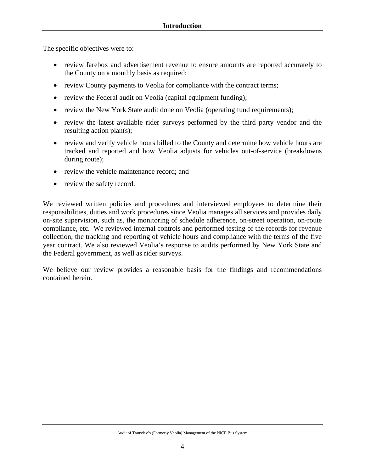The specific objectives were to:

- review farebox and advertisement revenue to ensure amounts are reported accurately to the County on a monthly basis as required;
- review County payments to Veolia for compliance with the contract terms;
- review the Federal audit on Veolia (capital equipment funding);
- review the New York State audit done on Veolia (operating fund requirements);
- review the latest available rider surveys performed by the third party vendor and the resulting action plan(s);
- review and verify vehicle hours billed to the County and determine how vehicle hours are tracked and reported and how Veolia adjusts for vehicles out-of-service (breakdowns during route);
- review the vehicle maintenance record; and
- review the safety record.

We reviewed written policies and procedures and interviewed employees to determine their responsibilities, duties and work procedures since Veolia manages all services and provides daily on-site supervision, such as, the monitoring of schedule adherence, on-street operation, on-route compliance, etc. We reviewed internal controls and performed testing of the records for revenue collection, the tracking and reporting of vehicle hours and compliance with the terms of the five year contract. We also reviewed Veolia's response to audits performed by New York State and the Federal government, as well as rider surveys.

We believe our review provides a reasonable basis for the findings and recommendations contained herein.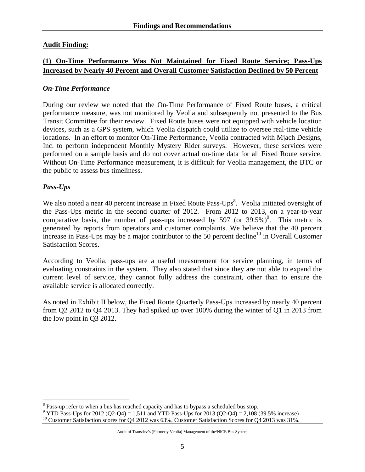## **Audit Finding:**

## **(1) On-Time Performance Was Not Maintained for Fixed Route Service; Pass-Ups Increased by Nearly 40 Percent and Overall Customer Satisfaction Declined by 50 Percent**

### *On-Time Performance*

During our review we noted that the On-Time Performance of Fixed Route buses, a critical performance measure, was not monitored by Veolia and subsequently not presented to the Bus Transit Committee for their review. Fixed Route buses were not equipped with vehicle location devices, such as a GPS system, which Veolia dispatch could utilize to oversee real-time vehicle locations. In an effort to monitor On-Time Performance, Veolia contracted with Mjach Designs, Inc. to perform independent Monthly Mystery Rider surveys. However, these services were performed on a sample basis and do not cover actual on-time data for all Fixed Route service. Without On-Time Performance measurement, it is difficult for Veolia management, the BTC or the public to assess bus timeliness.

## *Pass-Ups*

 $\overline{a}$ 

We also noted a near 40 percent increase in Fixed Route Pass-Ups $\delta$ . Veolia initiated oversight of the Pass-Ups metric in the second quarter of 2012. From 2012 to 2013, on a year-to-year comparative basis, the number of pass-ups increased by 597 (or  $39.5\%$ )<sup>9</sup>. This metric is generated by reports from operators and customer complaints. We believe that the 40 percent increase in Pass-Ups may be a major contributor to the  $50$  percent decline<sup>10</sup> in Overall Customer Satisfaction Scores.

According to Veolia, pass-ups are a useful measurement for service planning, in terms of evaluating constraints in the system. They also stated that since they are not able to expand the current level of service, they cannot fully address the constraint, other than to ensure the available service is allocated correctly.

As noted in Exhibit II below, the Fixed Route Quarterly Pass-Ups increased by nearly 40 percent from Q2 2012 to Q4 2013. They had spiked up over 100% during the winter of Q1 in 2013 from the low point in Q3 2012.

 $8$  Pass-up refer to when a bus has reached capacity and has to bypass a scheduled bus stop.

<sup>&</sup>lt;sup>9</sup> YTD Pass-Ups for 2012 (Q2-Q4) = 1,511 and YTD Pass-Ups for 2013 (Q2-Q4) = 2,108 (39.5% increase)

<sup>&</sup>lt;sup>10</sup> Customer Satisfaction scores for Q4 2012 was 63%, Customer Satisfaction Scores for Q4 2013 was 31%.

Audit of Transdev's (Formerly Veolia) Management of the/NICE Bus System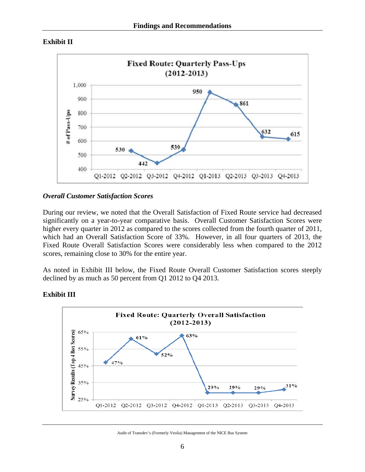



#### *Overall Customer Satisfaction Scores*

During our review, we noted that the Overall Satisfaction of Fixed Route service had decreased significantly on a year-to-year comparative basis. Overall Customer Satisfaction Scores were higher every quarter in 2012 as compared to the scores collected from the fourth quarter of 2011, which had an Overall Satisfaction Score of 33%. However, in all four quarters of 2013, the Fixed Route Overall Satisfaction Scores were considerably less when compared to the 2012 scores, remaining close to 30% for the entire year.

As noted in Exhibit III below, the Fixed Route Overall Customer Satisfaction scores steeply declined by as much as 50 percent from Q1 2012 to Q4 2013.



## **Exhibit III**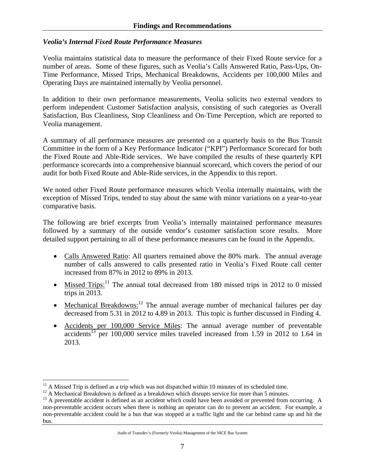#### *Veolia's Internal Fixed Route Performance Measures*

Veolia maintains statistical data to measure the performance of their Fixed Route service for a number of areas. Some of these figures, such as Veolia's Calls Answered Ratio, Pass-Ups, On-Time Performance, Missed Trips, Mechanical Breakdowns, Accidents per 100,000 Miles and Operating Days are maintained internally by Veolia personnel.

In addition to their own performance measurements, Veolia solicits two external vendors to perform independent Customer Satisfaction analysis, consisting of such categories as Overall Satisfaction, Bus Cleanliness, Stop Cleanliness and On-Time Perception, which are reported to Veolia management.

A summary of all performance measures are presented on a quarterly basis to the Bus Transit Committee in the form of a Key Performance Indicator ("KPI") Performance Scorecard for both the Fixed Route and Able-Ride services. We have compiled the results of these quarterly KPI performance scorecards into a comprehensive biannual scorecard, which covers the period of our audit for both Fixed Route and Able-Ride services, in the Appendix to this report.

We noted other Fixed Route performance measures which Veolia internally maintains, with the exception of Missed Trips, tended to stay about the same with minor variations on a year-to-year comparative basis.

The following are brief excerpts from Veolia's internally maintained performance measures followed by a summary of the outside vendor's customer satisfaction score results. More detailed support pertaining to all of these performance measures can be found in the Appendix.

- Calls Answered Ratio: All quarters remained above the 80% mark. The annual average number of calls answered to calls presented ratio in Veolia's Fixed Route call center increased from 87% in 2012 to 89% in 2013.
- Missed Trips:<sup>11</sup> The annual total decreased from 180 missed trips in 2012 to 0 missed trips in 2013.
- Mechanical Breakdowns:<sup>12</sup> The annual average number of mechanical failures per day decreased from 5.31 in 2012 to 4.89 in 2013. This topic is further discussed in Finding 4.
- Accidents per 100,000 Service Miles: The annual average number of preventable accidents<sup>13</sup> per 100,000 service miles traveled increased from 1.59 in 2012 to 1.64 in 2013.

 $\overline{a}$ 

<sup>&</sup>lt;sup>11</sup> A Missed Trip is defined as a trip which was not dispatched within 10 minutes of its scheduled time. <sup>12</sup> A Mechanical Breakdown is defined as a breakdown which disrupts service for more than 5 minutes.

<sup>&</sup>lt;sup>13</sup> A preventable accident is defined as an accident which could have been avoided or prevented from occurring. A non-preventable accident occurs when there is nothing an operator can do to prevent an accident. For example, a non-preventable accident could be a bus that was stopped at a traffic light and the car behind came up and hit the bus.

Audit of Transdev's (Formerly Veolia) Management of the NICE Bus System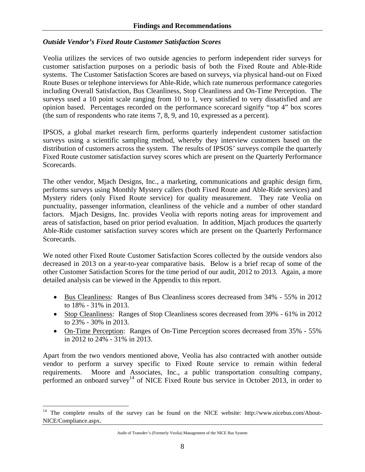#### *Outside Vendor's Fixed Route Customer Satisfaction Scores*

Veolia utilizes the services of two outside agencies to perform independent rider surveys for customer satisfaction purposes on a periodic basis of both the Fixed Route and Able-Ride systems. The Customer Satisfaction Scores are based on surveys, via physical hand-out on Fixed Route Buses or telephone interviews for Able-Ride, which rate numerous performance categories including Overall Satisfaction, Bus Cleanliness, Stop Cleanliness and On-Time Perception. The surveys used a 10 point scale ranging from 10 to 1, very satisfied to very dissatisfied and are opinion based. Percentages recorded on the performance scorecard signify "top 4" box scores (the sum of respondents who rate items 7, 8, 9, and 10, expressed as a percent).

IPSOS, a global market research firm, performs quarterly independent customer satisfaction surveys using a scientific sampling method, whereby they interview customers based on the distribution of customers across the system. The results of IPSOS' surveys compile the quarterly Fixed Route customer satisfaction survey scores which are present on the Quarterly Performance Scorecards.

The other vendor, Mjach Designs, Inc., a marketing, communications and graphic design firm, performs surveys using Monthly Mystery callers (both Fixed Route and Able-Ride services) and Mystery riders (only Fixed Route service) for quality measurement. They rate Veolia on punctuality, passenger information, cleanliness of the vehicle and a number of other standard factors. Mjach Designs, Inc. provides Veolia with reports noting areas for improvement and areas of satisfaction, based on prior period evaluation. In addition, Mjach produces the quarterly Able-Ride customer satisfaction survey scores which are present on the Quarterly Performance Scorecards.

We noted other Fixed Route Customer Satisfaction Scores collected by the outside vendors also decreased in 2013 on a year-to-year comparative basis. Below is a brief recap of some of the other Customer Satisfaction Scores for the time period of our audit, 2012 to 2013. Again, a more detailed analysis can be viewed in the Appendix to this report.

- Bus Cleanliness: Ranges of Bus Cleanliness scores decreased from  $34\%$  55% in 2012 to 18% - 31% in 2013.
- Stop Cleanliness: Ranges of Stop Cleanliness scores decreased from 39% 61% in 2012 to 23% - 30% in 2013.
- On-Time Perception: Ranges of On-Time Perception scores decreased from 35% 55% in 2012 to 24% - 31% in 2013.

Apart from the two vendors mentioned above, Veolia has also contracted with another outside vendor to perform a survey specific to Fixed Route service to remain within federal requirements. Moore and Associates, Inc., a public transportation consulting company, performed an onboard survey<sup>14</sup> of NICE Fixed Route bus service in October 2013, in order to

 $\overline{a}$ 

<sup>&</sup>lt;sup>14</sup> The complete results of the survey can be found on the NICE website: http://www.nicebus.com/About-NICE/Compliance.aspx.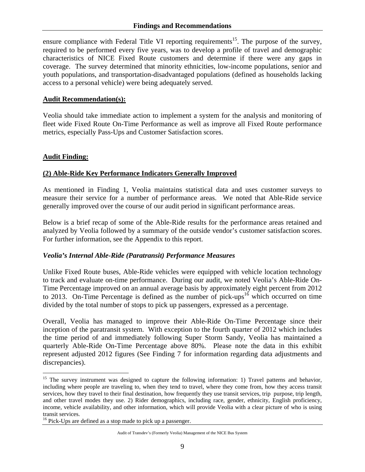ensure compliance with Federal Title VI reporting requirements<sup>15</sup>. The purpose of the survey, required to be performed every five years, was to develop a profile of travel and demographic characteristics of NICE Fixed Route customers and determine if there were any gaps in coverage. The survey determined that minority ethnicities, low-income populations, senior and youth populations, and transportation-disadvantaged populations (defined as households lacking access to a personal vehicle) were being adequately served.

#### **Audit Recommendation(s):**

Veolia should take immediate action to implement a system for the analysis and monitoring of fleet wide Fixed Route On-Time Performance as well as improve all Fixed Route performance metrics, especially Pass-Ups and Customer Satisfaction scores.

#### **Audit Finding:**

 $\overline{a}$ 

#### **(2) Able-Ride Key Performance Indicators Generally Improved**

As mentioned in Finding 1, Veolia maintains statistical data and uses customer surveys to measure their service for a number of performance areas. We noted that Able-Ride service generally improved over the course of our audit period in significant performance areas.

Below is a brief recap of some of the Able-Ride results for the performance areas retained and analyzed by Veolia followed by a summary of the outside vendor's customer satisfaction scores. For further information, see the Appendix to this report.

#### *Veolia's Internal Able-Ride (Paratransit) Performance Measures*

Unlike Fixed Route buses, Able-Ride vehicles were equipped with vehicle location technology to track and evaluate on-time performance. During our audit, we noted Veolia's Able-Ride On-Time Percentage improved on an annual average basis by approximately eight percent from 2012 to 2013. On-Time Percentage is defined as the number of pick-ups<sup>16</sup> which occurred on time divided by the total number of stops to pick up passengers, expressed as a percentage.

Overall, Veolia has managed to improve their Able-Ride On-Time Percentage since their inception of the paratransit system. With exception to the fourth quarter of 2012 which includes the time period of and immediately following Super Storm Sandy, Veolia has maintained a quarterly Able-Ride On-Time Percentage above 80%. Please note the data in this exhibit represent adjusted 2012 figures (See Finding 7 for information regarding data adjustments and discrepancies).

<sup>&</sup>lt;sup>15</sup> The survey instrument was designed to capture the following information: 1) Travel patterns and behavior, including where people are traveling to, when they tend to travel, where they come from, how they access transit services, how they travel to their final destination, how frequently they use transit services, trip purpose, trip length, and other travel modes they use. 2) Rider demographics, including race, gender, ethnicity, English proficiency, income, vehicle availability, and other information, which will provide Veolia with a clear picture of who is using transit services.

<sup>&</sup>lt;sup>16</sup> Pick-Ups are defined as a stop made to pick up a passenger.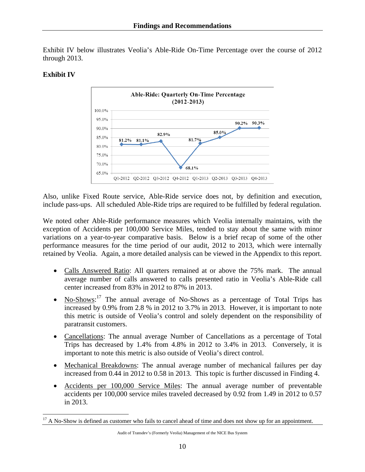Exhibit IV below illustrates Veolia's Able-Ride On-Time Percentage over the course of 2012 through 2013.

### **Exhibit IV**

 $\overline{a}$ 



Also, unlike Fixed Route service, Able-Ride service does not, by definition and execution, include pass-ups. All scheduled Able-Ride trips are required to be fulfilled by federal regulation.

We noted other Able-Ride performance measures which Veolia internally maintains, with the exception of Accidents per 100,000 Service Miles, tended to stay about the same with minor variations on a year-to-year comparative basis. Below is a brief recap of some of the other performance measures for the time period of our audit, 2012 to 2013, which were internally retained by Veolia. Again, a more detailed analysis can be viewed in the Appendix to this report.

- Calls Answered Ratio: All quarters remained at or above the 75% mark. The annual average number of calls answered to calls presented ratio in Veolia's Able-Ride call center increased from 83% in 2012 to 87% in 2013.
- No-Shows:<sup>17</sup> The annual average of No-Shows as a percentage of Total Trips has increased by 0.9% from 2.8 % in 2012 to 3.7% in 2013. However, it is important to note this metric is outside of Veolia's control and solely dependent on the responsibility of paratransit customers.
- Cancellations: The annual average Number of Cancellations as a percentage of Total Trips has decreased by 1.4% from 4.8% in 2012 to 3.4% in 2013. Conversely, it is important to note this metric is also outside of Veolia's direct control.
- Mechanical Breakdowns: The annual average number of mechanical failures per day increased from 0.44 in 2012 to 0.58 in 2013. This topic is further discussed in Finding 4.
- Accidents per 100,000 Service Miles: The annual average number of preventable accidents per 100,000 service miles traveled decreased by 0.92 from 1.49 in 2012 to 0.57 in 2013.

<sup>&</sup>lt;sup>17</sup> A No-Show is defined as customer who fails to cancel ahead of time and does not show up for an appointment.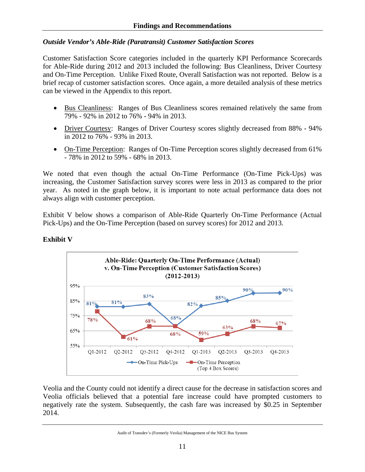### *Outside Vendor's Able-Ride (Paratransit) Customer Satisfaction Scores*

Customer Satisfaction Score categories included in the quarterly KPI Performance Scorecards for Able-Ride during 2012 and 2013 included the following: Bus Cleanliness, Driver Courtesy and On-Time Perception. Unlike Fixed Route, Overall Satisfaction was not reported. Below is a brief recap of customer satisfaction scores. Once again, a more detailed analysis of these metrics can be viewed in the Appendix to this report.

- Bus Cleanliness: Ranges of Bus Cleanliness scores remained relatively the same from 79% - 92% in 2012 to 76% - 94% in 2013.
- Driver Courtesy: Ranges of Driver Courtesy scores slightly decreased from 88% 94% in 2012 to 76% - 93% in 2013.
- On-Time Perception: Ranges of On-Time Perception scores slightly decreased from 61% - 78% in 2012 to 59% - 68% in 2013.

We noted that even though the actual On-Time Performance (On-Time Pick-Ups) was increasing, the Customer Satisfaction survey scores were less in 2013 as compared to the prior year. As noted in the graph below, it is important to note actual performance data does not always align with customer perception.

Exhibit V below shows a comparison of Able-Ride Quarterly On-Time Performance (Actual Pick-Ups) and the On-Time Perception (based on survey scores) for 2012 and 2013.



## **Exhibit V**

Veolia and the County could not identify a direct cause for the decrease in satisfaction scores and Veolia officials believed that a potential fare increase could have prompted customers to negatively rate the system. Subsequently, the cash fare was increased by \$0.25 in September 2014.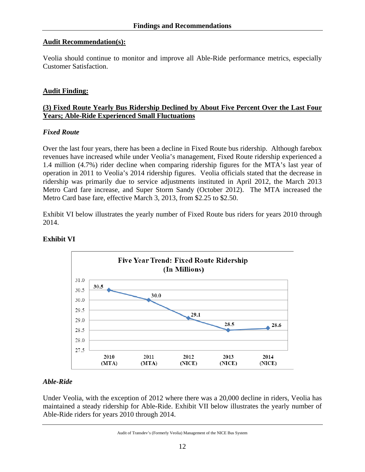#### **Audit Recommendation(s):**

Veolia should continue to monitor and improve all Able-Ride performance metrics, especially Customer Satisfaction.

### **Audit Finding:**

### **(3) Fixed Route Yearly Bus Ridership Declined by About Five Percent Over the Last Four Years; Able-Ride Experienced Small Fluctuations**

#### *Fixed Route*

Over the last four years, there has been a decline in Fixed Route bus ridership. Although farebox revenues have increased while under Veolia's management, Fixed Route ridership experienced a 1.4 million (4.7%) rider decline when comparing ridership figures for the MTA's last year of operation in 2011 to Veolia's 2014 ridership figures. Veolia officials stated that the decrease in ridership was primarily due to service adjustments instituted in April 2012, the March 2013 Metro Card fare increase, and Super Storm Sandy (October 2012). The MTA increased the Metro Card base fare, effective March 3, 2013, from \$2.25 to \$2.50.

Exhibit VI below illustrates the yearly number of Fixed Route bus riders for years 2010 through 2014.



## **Exhibit VI**

## *Able-Ride*

Under Veolia, with the exception of 2012 where there was a 20,000 decline in riders, Veolia has maintained a steady ridership for Able-Ride. Exhibit VII below illustrates the yearly number of Able-Ride riders for years 2010 through 2014.

Audit of Transdev's (Formerly Veolia) Management of the NICE Bus System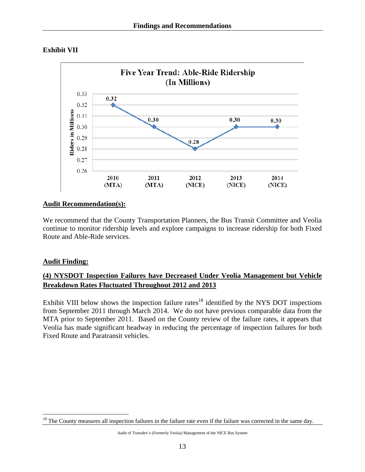



## **Audit Recommendation(s):**

We recommend that the County Transportation Planners, the Bus Transit Committee and Veolia continue to monitor ridership levels and explore campaigns to increase ridership for both Fixed Route and Able-Ride services.

## **Audit Finding:**

 $\overline{a}$ 

## **(4) NYSDOT Inspection Failures have Decreased Under Veolia Management but Vehicle Breakdown Rates Fluctuated Throughout 2012 and 2013**

Exhibit VIII below shows the inspection failure rates<sup>18</sup> identified by the NYS DOT inspections from September 2011 through March 2014. We do not have previous comparable data from the MTA prior to September 2011. Based on the County review of the failure rates, it appears that Veolia has made significant headway in reducing the percentage of inspection failures for both Fixed Route and Paratransit vehicles.

 $18$  The County measures all inspection failures in the failure rate even if the failure was corrected in the same day.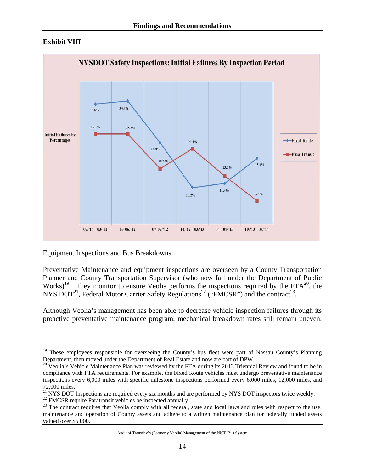## **Exhibit VIII**

1



Equipment Inspections and Bus Breakdowns

Preventative Maintenance and equipment inspections are overseen by a County Transportation Planner and County Transportation Supervisor (who now fall under the Department of Public Works)<sup>19</sup>. They monitor to ensure Veolia performs the inspections required by the  $FTA^{20}$ , the NYS DOT<sup>21</sup>, Federal Motor Carrier Safety Regulations<sup>22</sup> ("FMCSR") and the contract<sup>23</sup>.

Although Veolia's management has been able to decrease vehicle inspection failures through its proactive preventative maintenance program, mechanical breakdown rates still remain uneven.

<sup>&</sup>lt;sup>19</sup> These employees responsible for overseeing the County's bus fleet were part of Nassau County's Planning Department, then moved under the Department of Real Estate and now are part of DPW.

 $^{20}$  Veolia's Vehicle Maintenance Plan was reviewed by the FTA during its 2013 Triennial Review and found to be in compliance with FTA requirements. For example, the Fixed Route vehicles must undergo preventative maintenance inspections every 6,000 miles with specific milestone inspections performed every 6,000 miles, 12,000 miles, and

<sup>72,000</sup> miles.<br><sup>21</sup> NYS DOT Inspections are required every six months and are performed by NYS DOT inspectors twice weekly.

<sup>&</sup>lt;sup>22</sup> FMCSR require Paratransit vehicles be inspected annually.<br><sup>23</sup> The contract requires that Veolia comply with all federal, state and local laws and rules with respect to the use, maintenance and operation of County assets and adhere to a written maintenance plan for federally funded assets valued over \$5,000.

Audit of Transdev's (Formerly Veolia) Management of the NICE Bus System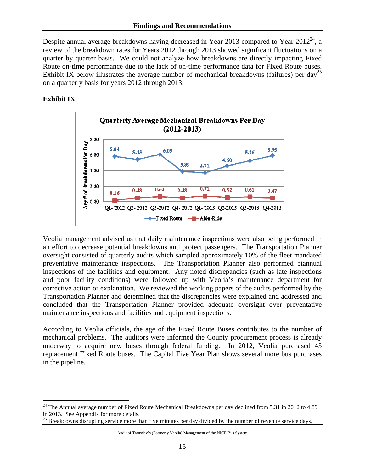Despite annual average breakdowns having decreased in Year 2013 compared to Year  $2012^{24}$ , a review of the breakdown rates for Years 2012 through 2013 showed significant fluctuations on a quarter by quarter basis. We could not analyze how breakdowns are directly impacting Fixed Route on-time performance due to the lack of on-time performance data for Fixed Route buses. Exhibit IX below illustrates the average number of mechanical breakdowns (failures) per day<sup>25</sup> on a quarterly basis for years 2012 through 2013.

## **Exhibit IX**

1



Veolia management advised us that daily maintenance inspections were also being performed in an effort to decrease potential breakdowns and protect passengers. The Transportation Planner oversight consisted of quarterly audits which sampled approximately 10% of the fleet mandated preventative maintenance inspections. The Transportation Planner also performed biannual inspections of the facilities and equipment. Any noted discrepancies (such as late inspections and poor facility conditions) were followed up with Veolia's maintenance department for corrective action or explanation. We reviewed the working papers of the audits performed by the Transportation Planner and determined that the discrepancies were explained and addressed and concluded that the Transportation Planner provided adequate oversight over preventative maintenance inspections and facilities and equipment inspections.

According to Veolia officials, the age of the Fixed Route Buses contributes to the number of mechanical problems. The auditors were informed the County procurement process is already underway to acquire new buses through federal funding. In 2012, Veolia purchased 45 replacement Fixed Route buses. The Capital Five Year Plan shows several more bus purchases in the pipeline.

 $24$  The Annual average number of Fixed Route Mechanical Breakdowns per day declined from 5.31 in 2012 to 4.89 in 2013. See Appendix for more details.

<sup>25</sup> Breakdowns disrupting service more than five minutes per day divided by the number of revenue service days.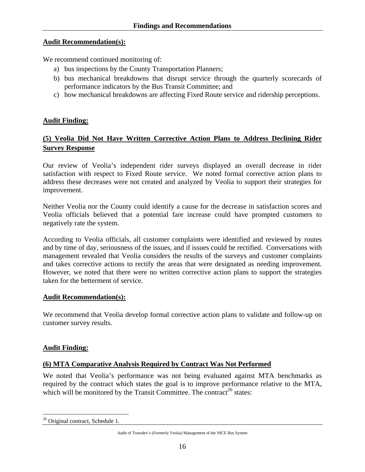#### **Audit Recommendation(s):**

We recommend continued monitoring of:

- a) bus inspections by the County Transportation Planners;
- b) bus mechanical breakdowns that disrupt service through the quarterly scorecards of performance indicators by the Bus Transit Committee; and
- c) how mechanical breakdowns are affecting Fixed Route service and ridership perceptions.

## **Audit Finding:**

## **(5) Veolia Did Not Have Written Corrective Action Plans to Address Declining Rider Survey Response**

Our review of Veolia's independent rider surveys displayed an overall decrease in rider satisfaction with respect to Fixed Route service. We noted formal corrective action plans to address these decreases were not created and analyzed by Veolia to support their strategies for improvement.

Neither Veolia nor the County could identify a cause for the decrease in satisfaction scores and Veolia officials believed that a potential fare increase could have prompted customers to negatively rate the system.

According to Veolia officials, all customer complaints were identified and reviewed by routes and by time of day, seriousness of the issues, and if issues could be rectified. Conversations with management revealed that Veolia considers the results of the surveys and customer complaints and takes corrective actions to rectify the areas that were designated as needing improvement. However, we noted that there were no written corrective action plans to support the strategies taken for the betterment of service.

## **Audit Recommendation(s):**

We recommend that Veolia develop formal corrective action plans to validate and follow-up on customer survey results.

## **Audit Finding:**

#### **(6) MTA Comparative Analysis Required by Contract Was Not Performed**

We noted that Veolia's performance was not being evaluated against MTA benchmarks as required by the contract which states the goal is to improve performance relative to the MTA, which will be monitored by the Transit Committee. The contract<sup>26</sup> states:

 $\overline{a}$ <sup>26</sup> Original contract, Schedule 1.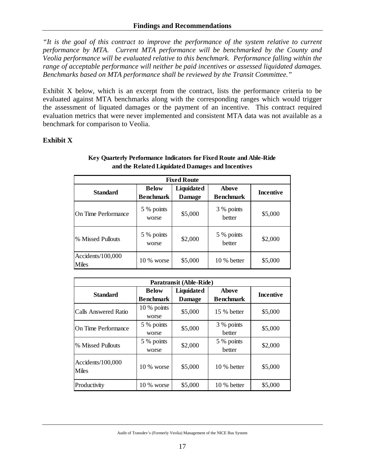*"It is the goal of this contract to improve the performance of the system relative to current performance by MTA. Current MTA performance will be benchmarked by the County and Veolia performance will be evaluated relative to this benchmark. Performance falling within the range of acceptable performance will neither be paid incentives or assessed liquidated damages. Benchmarks based on MTA performance shall be reviewed by the Transit Committee."* 

Exhibit X below, which is an excerpt from the contract, lists the performance criteria to be evaluated against MTA benchmarks along with the corresponding ranges which would trigger the assessment of liquated damages or the payment of an incentive. This contract required evaluation metrics that were never implemented and consistent MTA data was not available as a benchmark for comparison to Veolia.

#### **Exhibit X**

| <b>Fixed Route</b>         |                                                                 |         |                                  |                  |  |  |  |  |  |  |  |
|----------------------------|-----------------------------------------------------------------|---------|----------------------------------|------------------|--|--|--|--|--|--|--|
| <b>Standard</b>            | Liquidated<br><b>Below</b><br><b>Benchmark</b><br><b>Damage</b> |         | <b>Above</b><br><b>Benchmark</b> | <b>Incentive</b> |  |  |  |  |  |  |  |
| On Time Performance        | 5 % points<br>worse                                             | \$5,000 | 3 % points<br>better             | \$5,000          |  |  |  |  |  |  |  |
| % Missed Pullouts          | 5 % points<br>worse                                             | \$2,000 | 5 % points<br>better             | \$2,000          |  |  |  |  |  |  |  |
| Accidents/100,000<br>Miles | 10 % worse                                                      | \$5,000 | 10 % better                      | \$5,000          |  |  |  |  |  |  |  |

#### **Key Quarterly Performance Indicators for Fixed Route and Able-Ride and the Related Liquidated Damages and Incentives**

|                                   | Paratransit (Able-Ride)          |                             |                                  |                  |  |  |  |  |  |  |  |  |
|-----------------------------------|----------------------------------|-----------------------------|----------------------------------|------------------|--|--|--|--|--|--|--|--|
| <b>Standard</b>                   | <b>Below</b><br><b>Benchmark</b> | Liquidated<br><b>Damage</b> | <b>Above</b><br><b>Benchmark</b> | <b>Incentive</b> |  |  |  |  |  |  |  |  |
| Calls Answered Ratio              | 10 % points<br>worse             | \$5,000                     | 15 % better                      | \$5,000          |  |  |  |  |  |  |  |  |
| On Time Performance               | 5 % points<br>worse              | \$5,000                     | 3 % points<br>better             | \$5,000          |  |  |  |  |  |  |  |  |
| % Missed Pullouts                 | 5 % points<br>worse              | \$2,000                     | 5 % points<br>better             | \$2,000          |  |  |  |  |  |  |  |  |
| Accidents/100,000<br><b>Miles</b> | $10\%$ worse                     | \$5,000                     | 10 % better                      | \$5,000          |  |  |  |  |  |  |  |  |
| Productivity                      | 10 % worse                       | \$5,000                     | 10 % better                      | \$5,000          |  |  |  |  |  |  |  |  |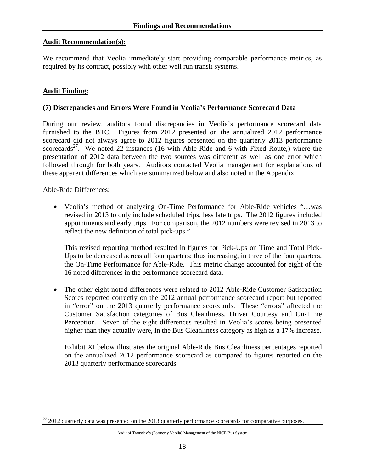#### **Audit Recommendation(s):**

We recommend that Veolia immediately start providing comparable performance metrics, as required by its contract, possibly with other well run transit systems.

### **Audit Finding:**

#### **(7) Discrepancies and Errors Were Found in Veolia's Performance Scorecard Data**

During our review, auditors found discrepancies in Veolia's performance scorecard data furnished to the BTC. Figures from 2012 presented on the annualized 2012 performance scorecard did not always agree to 2012 figures presented on the quarterly 2013 performance scorecards<sup>27</sup>. We noted 22 instances (16 with Able-Ride and 6 with Fixed Route,) where the presentation of 2012 data between the two sources was different as well as one error which followed through for both years. Auditors contacted Veolia management for explanations of these apparent differences which are summarized below and also noted in the Appendix.

#### Able-Ride Differences:

 $\overline{a}$ 

• Veolia's method of analyzing On-Time Performance for Able-Ride vehicles "…was revised in 2013 to only include scheduled trips, less late trips. The 2012 figures included appointments and early trips. For comparison, the 2012 numbers were revised in 2013 to reflect the new definition of total pick-ups."

This revised reporting method resulted in figures for Pick-Ups on Time and Total Pick-Ups to be decreased across all four quarters; thus increasing, in three of the four quarters, the On-Time Performance for Able-Ride. This metric change accounted for eight of the 16 noted differences in the performance scorecard data.

• The other eight noted differences were related to 2012 Able-Ride Customer Satisfaction Scores reported correctly on the 2012 annual performance scorecard report but reported in "error" on the 2013 quarterly performance scorecards. These "errors" affected the Customer Satisfaction categories of Bus Cleanliness, Driver Courtesy and On-Time Perception. Seven of the eight differences resulted in Veolia's scores being presented higher than they actually were, in the Bus Cleanliness category as high as a 17% increase.

Exhibit XI below illustrates the original Able-Ride Bus Cleanliness percentages reported on the annualized 2012 performance scorecard as compared to figures reported on the 2013 quarterly performance scorecards.

 $27$  2012 quarterly data was presented on the 2013 quarterly performance scorecards for comparative purposes.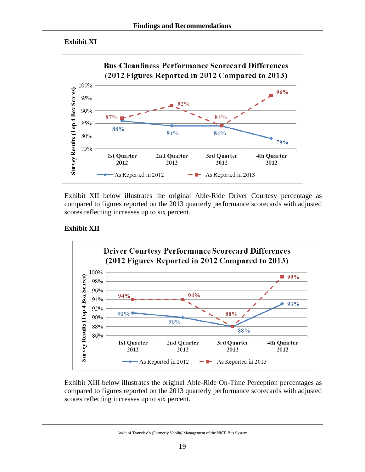## **Exhibit XI**



Exhibit XII below illustrates the original Able-Ride Driver Courtesy percentage as compared to figures reported on the 2013 quarterly performance scorecards with adjusted scores reflecting increases up to six percent.

## **Exhibit XII**



Exhibit XIII below illustrates the original Able-Ride On-Time Perception percentages as compared to figures reported on the 2013 quarterly performance scorecards with adjusted scores reflecting increases up to six percent.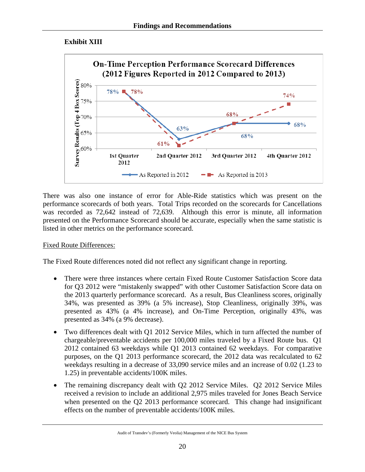## **Exhibit XIII**



There was also one instance of error for Able-Ride statistics which was present on the performance scorecards of both years. Total Trips recorded on the scorecards for Cancellations was recorded as 72,642 instead of 72,639. Although this error is minute, all information presented on the Performance Scorecard should be accurate, especially when the same statistic is listed in other metrics on the performance scorecard.

## Fixed Route Differences:

The Fixed Route differences noted did not reflect any significant change in reporting.

- There were three instances where certain Fixed Route Customer Satisfaction Score data for Q3 2012 were "mistakenly swapped" with other Customer Satisfaction Score data on the 2013 quarterly performance scorecard. As a result, Bus Cleanliness scores, originally 34%, was presented as 39% (a 5% increase), Stop Cleanliness, originally 39%, was presented as 43% (a 4% increase), and On-Time Perception, originally 43%, was presented as 34% (a 9% decrease).
- Two differences dealt with Q1 2012 Service Miles, which in turn affected the number of chargeable/preventable accidents per 100,000 miles traveled by a Fixed Route bus. Q1 2012 contained 63 weekdays while Q1 2013 contained 62 weekdays. For comparative purposes, on the Q1 2013 performance scorecard, the 2012 data was recalculated to 62 weekdays resulting in a decrease of 33,090 service miles and an increase of 0.02 (1.23 to 1.25) in preventable accidents/100K miles.
- The remaining discrepancy dealt with Q2 2012 Service Miles. Q2 2012 Service Miles received a revision to include an additional 2,975 miles traveled for Jones Beach Service when presented on the Q2 2013 performance scorecard. This change had insignificant effects on the number of preventable accidents/100K miles.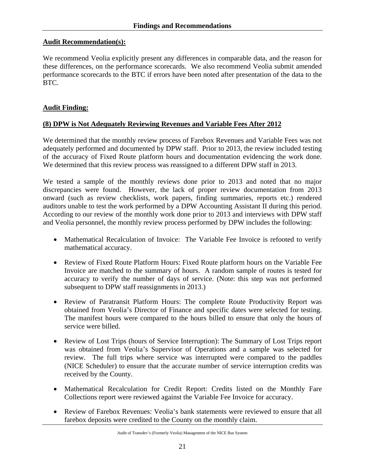### **Audit Recommendation(s):**

We recommend Veolia explicitly present any differences in comparable data, and the reason for these differences, on the performance scorecards. We also recommend Veolia submit amended performance scorecards to the BTC if errors have been noted after presentation of the data to the BTC.

### **Audit Finding:**

#### **(8) DPW is Not Adequately Reviewing Revenues and Variable Fees After 2012**

We determined that the monthly review process of Farebox Revenues and Variable Fees was not adequately performed and documented by DPW staff. Prior to 2013, the review included testing of the accuracy of Fixed Route platform hours and documentation evidencing the work done. We determined that this review process was reassigned to a different DPW staff in 2013.

We tested a sample of the monthly reviews done prior to 2013 and noted that no major discrepancies were found. However, the lack of proper review documentation from 2013 onward (such as review checklists, work papers, finding summaries, reports etc.) rendered auditors unable to test the work performed by a DPW Accounting Assistant II during this period. According to our review of the monthly work done prior to 2013 and interviews with DPW staff and Veolia personnel, the monthly review process performed by DPW includes the following:

- Mathematical Recalculation of Invoice: The Variable Fee Invoice is refooted to verify mathematical accuracy.
- Review of Fixed Route Platform Hours: Fixed Route platform hours on the Variable Fee Invoice are matched to the summary of hours. A random sample of routes is tested for accuracy to verify the number of days of service. (Note: this step was not performed subsequent to DPW staff reassignments in 2013.)
- Review of Paratransit Platform Hours: The complete Route Productivity Report was obtained from Veolia's Director of Finance and specific dates were selected for testing. The manifest hours were compared to the hours billed to ensure that only the hours of service were billed.
- Review of Lost Trips (hours of Service Interruption): The Summary of Lost Trips report was obtained from Veolia's Supervisor of Operations and a sample was selected for review. The full trips where service was interrupted were compared to the paddles (NICE Scheduler) to ensure that the accurate number of service interruption credits was received by the County.
- Mathematical Recalculation for Credit Report: Credits listed on the Monthly Fare Collections report were reviewed against the Variable Fee Invoice for accuracy.
- Review of Farebox Revenues: Veolia's bank statements were reviewed to ensure that all farebox deposits were credited to the County on the monthly claim.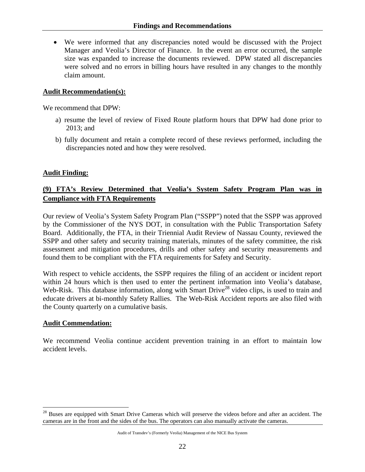• We were informed that any discrepancies noted would be discussed with the Project Manager and Veolia's Director of Finance. In the event an error occurred, the sample size was expanded to increase the documents reviewed. DPW stated all discrepancies were solved and no errors in billing hours have resulted in any changes to the monthly claim amount.

#### **Audit Recommendation(s):**

We recommend that DPW:

- a) resume the level of review of Fixed Route platform hours that DPW had done prior to 2013; and
- b) fully document and retain a complete record of these reviews performed, including the discrepancies noted and how they were resolved.

#### **Audit Finding:**

## **(9) FTA's Review Determined that Veolia's System Safety Program Plan was in Compliance with FTA Requirements**

Our review of Veolia's System Safety Program Plan ("SSPP") noted that the SSPP was approved by the Commissioner of the NYS DOT, in consultation with the Public Transportation Safety Board. Additionally, the FTA, in their Triennial Audit Review of Nassau County, reviewed the SSPP and other safety and security training materials, minutes of the safety committee, the risk assessment and mitigation procedures, drills and other safety and security measurements and found them to be compliant with the FTA requirements for Safety and Security.

With respect to vehicle accidents, the SSPP requires the filing of an accident or incident report within 24 hours which is then used to enter the pertinent information into Veolia's database, Web-Risk. This database information, along with Smart Drive<sup>28</sup> video clips, is used to train and educate drivers at bi-monthly Safety Rallies. The Web-Risk Accident reports are also filed with the County quarterly on a cumulative basis.

#### **Audit Commendation:**

 $\overline{a}$ 

We recommend Veolia continue accident prevention training in an effort to maintain low accident levels.

<sup>&</sup>lt;sup>28</sup> Buses are equipped with Smart Drive Cameras which will preserve the videos before and after an accident. The cameras are in the front and the sides of the bus. The operators can also manually activate the cameras.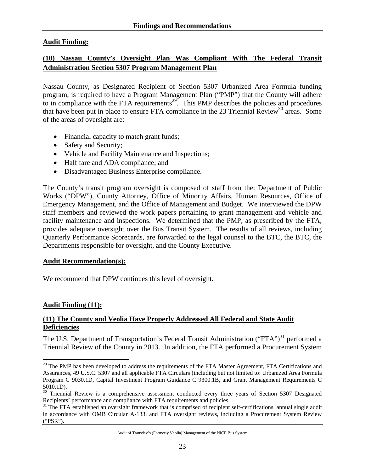## **Audit Finding:**

## **(10) Nassau County's Oversight Plan Was Compliant With The Federal Transit Administration Section 5307 Program Management Plan**

Nassau County, as Designated Recipient of Section 5307 Urbanized Area Formula funding program, is required to have a Program Management Plan ("PMP") that the County will adhere to in compliance with the FTA requirements<sup>29</sup>. This PMP describes the policies and procedures that have been put in place to ensure FTA compliance in the 23 Triennial Review<sup>30</sup> areas. Some of the areas of oversight are:

- Financial capacity to match grant funds;
- Safety and Security;
- Vehicle and Facility Maintenance and Inspections;
- Half fare and ADA compliance; and
- Disadvantaged Business Enterprise compliance.

The County's transit program oversight is composed of staff from the: Department of Public Works ("DPW"), County Attorney, Office of Minority Affairs, Human Resources, Office of Emergency Management, and the Office of Management and Budget. We interviewed the DPW staff members and reviewed the work papers pertaining to grant management and vehicle and facility maintenance and inspections. We determined that the PMP, as prescribed by the FTA, provides adequate oversight over the Bus Transit System. The results of all reviews, including Quarterly Performance Scorecards, are forwarded to the legal counsel to the BTC, the BTC, the Departments responsible for oversight, and the County Executive.

#### **Audit Recommendation(s):**

We recommend that DPW continues this level of oversight.

## **Audit Finding (11):**

 $\overline{a}$ 

#### **(11) The County and Veolia Have Properly Addressed All Federal and State Audit Deficiencies**

The U.S. Department of Transportation's Federal Transit Administration ("FTA")<sup>31</sup> performed a Triennial Review of the County in 2013. In addition, the FTA performed a Procurement System

<sup>&</sup>lt;sup>29</sup> The PMP has been developed to address the requirements of the FTA Master Agreement, FTA Certifications and Assurances, 49 U.S.C. 5307 and all applicable FTA Circulars (including but not limited to: Urbanized Area Formula Program C 9030.1D, Capital Investment Program Guidance C 9300.1B, and Grant Management Requirements C 5010.1D).

<sup>&</sup>lt;sup>30</sup> Triennial Review is a comprehensive assessment conducted every three years of Section 5307 Designated Recipients' performance and compliance with FTA requirements and policies.

<sup>&</sup>lt;sup>31</sup> The FTA established an oversight framework that is comprised of recipient self-certifications, annual single audit in accordance with OMB Circular A-133, and FTA oversight reviews, including a Procurement System Review ("PSR").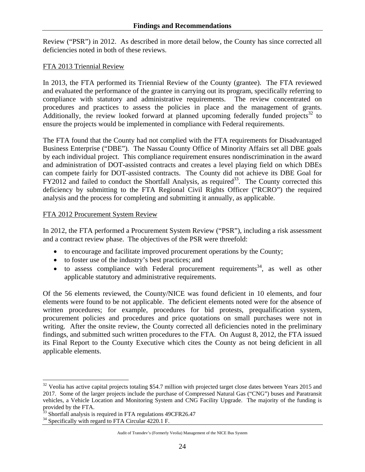Review ("PSR") in 2012. As described in more detail below, the County has since corrected all deficiencies noted in both of these reviews.

### FTA 2013 Triennial Review

In 2013, the FTA performed its Triennial Review of the County (grantee). The FTA reviewed and evaluated the performance of the grantee in carrying out its program, specifically referring to compliance with statutory and administrative requirements. The review concentrated on procedures and practices to assess the policies in place and the management of grants. Additionally, the review looked forward at planned upcoming federally funded projects<sup>32</sup> to ensure the projects would be implemented in compliance with Federal requirements.

The FTA found that the County had not complied with the FTA requirements for Disadvantaged Business Enterprise ("DBE"). The Nassau County Office of Minority Affairs set all DBE goals by each individual project. This compliance requirement ensures nondiscrimination in the award and administration of DOT-assisted contracts and creates a level playing field on which DBEs can compete fairly for DOT-assisted contracts. The County did not achieve its DBE Goal for  $FY2012$  and failed to conduct the Shortfall Analysis, as required<sup>33</sup>. The County corrected this deficiency by submitting to the FTA Regional Civil Rights Officer ("RCRO") the required analysis and the process for completing and submitting it annually, as applicable.

#### FTA 2012 Procurement System Review

In 2012, the FTA performed a Procurement System Review ("PSR"), including a risk assessment and a contract review phase. The objectives of the PSR were threefold:

- to encourage and facilitate improved procurement operations by the County;
- to foster use of the industry's best practices; and
- to assess compliance with Federal procurement requirements<sup>34</sup>, as well as other applicable statutory and administrative requirements.

Of the 56 elements reviewed, the County/NICE was found deficient in 10 elements, and four elements were found to be not applicable. The deficient elements noted were for the absence of written procedures; for example, procedures for bid protests, prequalification system, procurement policies and procedures and price quotations on small purchases were not in writing. After the onsite review, the County corrected all deficiencies noted in the preliminary findings, and submitted such written procedures to the FTA. On August 8, 2012, the FTA issued its Final Report to the County Executive which cites the County as not being deficient in all applicable elements.

 $\overline{a}$ 

 $32$  Veolia has active capital projects totaling \$54.7 million with projected target close dates between Years 2015 and 2017. Some of the larger projects include the purchase of Compressed Natural Gas ("CNG") buses and Paratransit vehicles, a Vehicle Location and Monitoring System and CNG Facility Upgrade. The majority of the funding is provided by the FTA.

 $33$  Shortfall analysis is required in FTA regulations 49CFR26.47

<sup>&</sup>lt;sup>34</sup> Specifically with regard to FTA Circular 4220.1 F.

Audit of Transdev's (Formerly Veolia) Management of the NICE Bus System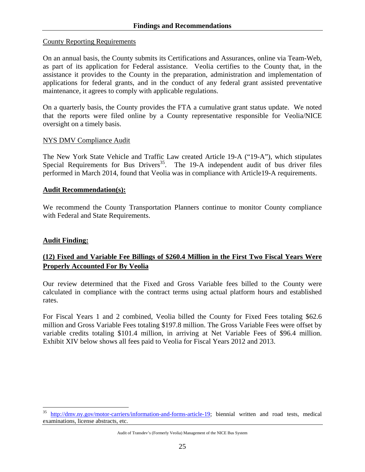#### County Reporting Requirements

On an annual basis, the County submits its Certifications and Assurances, online via Team-Web, as part of its application for Federal assistance. Veolia certifies to the County that, in the assistance it provides to the County in the preparation, administration and implementation of applications for federal grants, and in the conduct of any federal grant assisted preventative maintenance, it agrees to comply with applicable regulations.

On a quarterly basis, the County provides the FTA a cumulative grant status update. We noted that the reports were filed online by a County representative responsible for Veolia/NICE oversight on a timely basis.

#### NYS DMV Compliance Audit

The New York State Vehicle and Traffic Law created Article 19-A ("19-A"), which stipulates Special Requirements for Bus Drivers<sup>35</sup>. The 19-A independent audit of bus driver files performed in March 2014, found that Veolia was in compliance with Article19-A requirements.

#### **Audit Recommendation(s):**

We recommend the County Transportation Planners continue to monitor County compliance with Federal and State Requirements.

## **Audit Finding:**

 $\overline{a}$ 

## **(12) Fixed and Variable Fee Billings of \$260.4 Million in the First Two Fiscal Years Were Properly Accounted For By Veolia**

Our review determined that the Fixed and Gross Variable fees billed to the County were calculated in compliance with the contract terms using actual platform hours and established rates.

For Fiscal Years 1 and 2 combined, Veolia billed the County for Fixed Fees totaling \$62.6 million and Gross Variable Fees totaling \$197.8 million. The Gross Variable Fees were offset by variable credits totaling \$101.4 million, in arriving at Net Variable Fees of \$96.4 million. Exhibit XIV below shows all fees paid to Veolia for Fiscal Years 2012 and 2013.

http://dmv.ny.gov/motor-carriers/information-and-forms-article-19; biennial written and road tests, medical examinations, license abstracts, etc.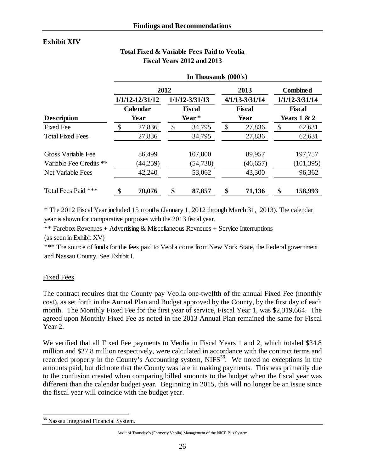## **Exhibit XIV**

## **Total Fixed & Variable Fees Paid to Veolia Fiscal Years 2012 and 2013**

|                          | In Thousands (000's)    |                     |               |                    |               |                    |                 |                    |  |  |
|--------------------------|-------------------------|---------------------|---------------|--------------------|---------------|--------------------|-----------------|--------------------|--|--|
|                          | 2012                    |                     |               |                    |               | 2013               | <b>Combined</b> |                    |  |  |
|                          |                         | $1/1/12 - 12/31/12$ |               | $1/1/12 - 3/31/13$ |               | $4/1/13 - 3/31/14$ |                 | $1/1/12 - 3/31/14$ |  |  |
|                          | <b>Calendar</b><br>Year |                     | <b>Fiscal</b> |                    | <b>Fiscal</b> |                    | <b>Fiscal</b>   |                    |  |  |
| <b>Description</b>       |                         |                     |               | Year *             |               | Year               | Years $1 & 2$   |                    |  |  |
| <b>Fixed Fee</b>         | \$                      | 27,836              | \$            | 34,795             | \$            | 27,836             | \$              | 62,631             |  |  |
| <b>Total Fixed Fees</b>  |                         | 27,836              |               | 34,795             |               | 27,836             |                 | 62,631             |  |  |
| Gross Variable Fee       |                         | 86,499              |               | 107,800            |               | 89,957             |                 | 197,757            |  |  |
| Variable Fee Credits **  |                         | (44, 259)           |               | (54, 738)          |               | (46, 657)          |                 | (101, 395)         |  |  |
| <b>Net Variable Fees</b> |                         | 42,240              |               | 53,062             |               | 43,300             |                 | 96,362             |  |  |
| Total Fees Paid ***      | \$                      | 70,076              | \$            | 87,857             | \$            | 71,136             | \$              | 158,993            |  |  |

\* The 2012 Fiscal Year included 15 months (January 1, 2012 through March 31, 2013). The calendar year is shown for comparative purposes with the 2013 fiscal year.

\*\* Farebox Revenues + Advertising & Miscellaneous Revneues + Service Interruptions

(as seen in Exhibit XV)

\*\*\* The source of funds for the fees paid to Veolia come from New York State, the Federal government and Nassau County. See Exhibit I.

## Fixed Fees

The contract requires that the County pay Veolia one-twelfth of the annual Fixed Fee (monthly cost), as set forth in the Annual Plan and Budget approved by the County, by the first day of each month. The Monthly Fixed Fee for the first year of service, Fiscal Year 1, was \$2,319,664. The agreed upon Monthly Fixed Fee as noted in the 2013 Annual Plan remained the same for Fiscal Year 2.

We verified that all Fixed Fee payments to Veolia in Fiscal Years 1 and 2, which totaled \$34.8 million and \$27.8 million respectively, were calculated in accordance with the contract terms and recorded properly in the County's Accounting system,  $NIFS^{36}$ . We noted no exceptions in the amounts paid, but did note that the County was late in making payments. This was primarily due to the confusion created when comparing billed amounts to the budget when the fiscal year was different than the calendar budget year. Beginning in 2015, this will no longer be an issue since the fiscal year will coincide with the budget year.

 $\overline{a}$ <sup>36</sup> Nassau Integrated Financial System.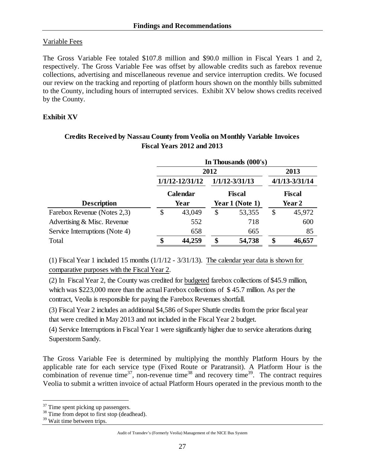## Variable Fees

The Gross Variable Fee totaled \$107.8 million and \$90.0 million in Fiscal Years 1 and 2, respectively. The Gross Variable Fee was offset by allowable credits such as farebox revenue collections, advertising and miscellaneous revenue and service interruption credits. We focused our review on the tracking and reporting of platform hours shown on the monthly bills submitted to the County, including hours of interrupted services. Exhibit XV below shows credits received by the County.

## **Exhibit XV**

|                                | In Thousands (000's) |                     |      |                    |                    |        |  |  |  |
|--------------------------------|----------------------|---------------------|------|--------------------|--------------------|--------|--|--|--|
|                                |                      | 2012                | 2013 |                    |                    |        |  |  |  |
|                                |                      | $1/1/12 - 12/31/12$ |      | $1/1/12 - 3/31/13$ | $4/1/13 - 3/31/14$ |        |  |  |  |
|                                |                      | Calendar            |      | <b>Fiscal</b>      | <b>Fiscal</b>      |        |  |  |  |
| <b>Description</b>             |                      | Year                |      | Year 1 (Note 1)    | Year 2             |        |  |  |  |
| Farebox Revenue (Notes 2,3)    | \$                   | 43,049              | \$   | 53,355             | \$                 | 45,972 |  |  |  |
| Advertising & Misc. Revenue    |                      | 552                 |      | 718                |                    | 600    |  |  |  |
| Service Interruptions (Note 4) |                      | 658                 |      | 665                |                    | 85     |  |  |  |
| Total                          | \$                   | 44,259              | \$   | 54,738             | \$                 | 46,657 |  |  |  |

## **Credits Received by Nassau County from Veolia on Monthly Variable Invoices Fiscal Years 2012 and 2013**

(1) Fiscal Year 1 included 15 months (1/1/12 - 3/31/13). The calendar year data is shown for comparative purposes with the Fiscal Year 2.

(2) In Fiscal Year 2, the County was credited for budgeted farebox collections of \$45.9 million, which was \$223,000 more than the actual Farebox collections of \$45.7 million. As per the contract, Veolia is responsible for paying the Farebox Revenues shortfall.

(3) Fiscal Year 2 includes an additional \$4,586 of Super Shuttle credits from the prior fiscal year that were credited in May 2013 and not included in the Fiscal Year 2 budget.

(4) Service Interruptions in Fiscal Year 1 were significantly higher due to service alterations during Superstorm Sandy.

The Gross Variable Fee is determined by multiplying the monthly Platform Hours by the applicable rate for each service type (Fixed Route or Paratransit). A Platform Hour is the combination of revenue time<sup>37</sup>, non-revenue time<sup>38</sup> and recovery time<sup>39</sup>. The contract requires Veolia to submit a written invoice of actual Platform Hours operated in the previous month to the

 $\overline{a}$  $37$  Time spent picking up passengers.

<sup>&</sup>lt;sup>38</sup> Time from depot to first stop (deadhead).

<sup>&</sup>lt;sup>39</sup> Wait time between trips.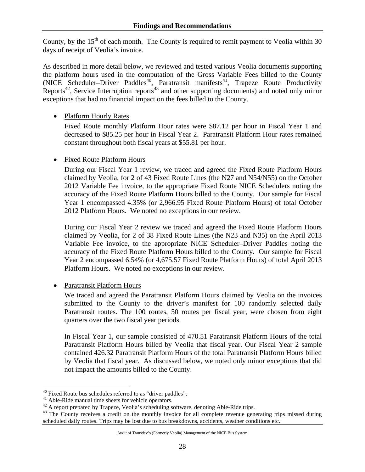County, by the  $15<sup>th</sup>$  of each month. The County is required to remit payment to Veolia within 30 days of receipt of Veolia's invoice.

As described in more detail below, we reviewed and tested various Veolia documents supporting the platform hours used in the computation of the Gross Variable Fees billed to the County (NICE Scheduler–Driver Paddles<sup>40</sup>, Paratransit manifests<sup>41</sup>, Trapeze Route Productivity Reports<sup>42</sup>, Service Interruption reports<sup>43</sup> and other supporting documents) and noted only minor exceptions that had no financial impact on the fees billed to the County.

## • Platform Hourly Rates

Fixed Route monthly Platform Hour rates were \$87.12 per hour in Fiscal Year 1 and decreased to \$85.25 per hour in Fiscal Year 2. Paratransit Platform Hour rates remained constant throughout both fiscal years at \$55.81 per hour.

## • Fixed Route Platform Hours

During our Fiscal Year 1 review, we traced and agreed the Fixed Route Platform Hours claimed by Veolia, for 2 of 43 Fixed Route Lines (the N27 and N54/N55) on the October 2012 Variable Fee invoice, to the appropriate Fixed Route NICE Schedulers noting the accuracy of the Fixed Route Platform Hours billed to the County. Our sample for Fiscal Year 1 encompassed 4.35% (or 2,966.95 Fixed Route Platform Hours) of total October 2012 Platform Hours. We noted no exceptions in our review.

During our Fiscal Year 2 review we traced and agreed the Fixed Route Platform Hours claimed by Veolia, for 2 of 38 Fixed Route Lines (the N23 and N35) on the April 2013 Variable Fee invoice, to the appropriate NICE Scheduler–Driver Paddles noting the accuracy of the Fixed Route Platform Hours billed to the County. Our sample for Fiscal Year 2 encompassed 6.54% (or 4,675.57 Fixed Route Platform Hours) of total April 2013 Platform Hours. We noted no exceptions in our review.

• Paratransit Platform Hours

We traced and agreed the Paratransit Platform Hours claimed by Veolia on the invoices submitted to the County to the driver's manifest for 100 randomly selected daily Paratransit routes. The 100 routes, 50 routes per fiscal year, were chosen from eight quarters over the two fiscal year periods.

In Fiscal Year 1, our sample consisted of 470.51 Paratransit Platform Hours of the total Paratransit Platform Hours billed by Veolia that fiscal year. Our Fiscal Year 2 sample contained 426.32 Paratransit Platform Hours of the total Paratransit Platform Hours billed by Veolia that fiscal year. As discussed below, we noted only minor exceptions that did not impact the amounts billed to the County.

 $\overline{a}$  $40$  Fixed Route bus schedules referred to as "driver paddles".

<sup>41</sup> Able-Ride manual time sheets for vehicle operators.<br><sup>42</sup> A report prepared by Trapeze, Veolia's scheduling software, denoting Able-Ride trips.

<sup>&</sup>lt;sup>43</sup> The County receives a credit on the monthly invoice for all complete revenue generating trips missed during scheduled daily routes. Trips may be lost due to bus breakdowns, accidents, weather conditions etc.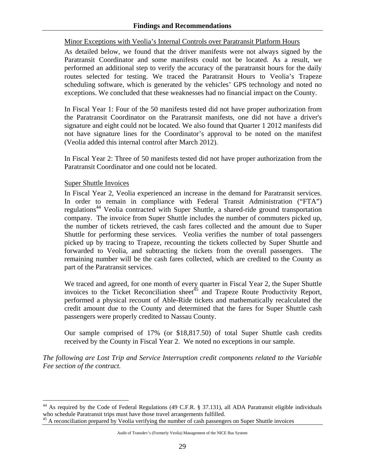## Minor Exceptions with Veolia's Internal Controls over Paratransit Platform Hours

As detailed below, we found that the driver manifests were not always signed by the Paratransit Coordinator and some manifests could not be located. As a result, we performed an additional step to verify the accuracy of the paratransit hours for the daily routes selected for testing. We traced the Paratransit Hours to Veolia's Trapeze scheduling software, which is generated by the vehicles' GPS technology and noted no exceptions. We concluded that these weaknesses had no financial impact on the County.

In Fiscal Year 1: Four of the 50 manifests tested did not have proper authorization from the Paratransit Coordinator on the Paratransit manifests, one did not have a driver's signature and eight could not be located. We also found that Quarter 1 2012 manifests did not have signature lines for the Coordinator's approval to be noted on the manifest (Veolia added this internal control after March 2012).

In Fiscal Year 2: Three of 50 manifests tested did not have proper authorization from the Paratransit Coordinator and one could not be located.

#### Super Shuttle Invoices

1

In Fiscal Year 2, Veolia experienced an increase in the demand for Paratransit services. In order to remain in compliance with Federal Transit Administration ("FTA") regulations<sup>44</sup> Veolia contracted with Super Shuttle, a shared-ride ground transportation company. The invoice from Super Shuttle includes the number of commuters picked up, the number of tickets retrieved, the cash fares collected and the amount due to Super Shuttle for performing these services. Veolia verifies the number of total passengers picked up by tracing to Trapeze, recounting the tickets collected by Super Shuttle and forwarded to Veolia, and subtracting the tickets from the overall passengers. The remaining number will be the cash fares collected, which are credited to the County as part of the Paratransit services.

We traced and agreed, for one month of every quarter in Fiscal Year 2, the Super Shuttle invoices to the Ticket Reconciliation sheet<sup> $45$ </sup> and Trapeze Route Productivity Report, performed a physical recount of Able-Ride tickets and mathematically recalculated the credit amount due to the County and determined that the fares for Super Shuttle cash passengers were properly credited to Nassau County.

Our sample comprised of 17% (or \$18,817.50) of total Super Shuttle cash credits received by the County in Fiscal Year 2. We noted no exceptions in our sample.

*The following are Lost Trip and Service Interruption credit components related to the Variable Fee section of the contract.* 

<sup>&</sup>lt;sup>44</sup> As required by the Code of Federal Regulations (49 C.F.R. § 37.131), all ADA Paratransit eligible individuals who schedule Paratransit trips must have those travel arrangements fulfilled.<br><sup>45</sup> A reconciliation prepared by Veolia verifying the number of cash passengers on Super Shuttle invoices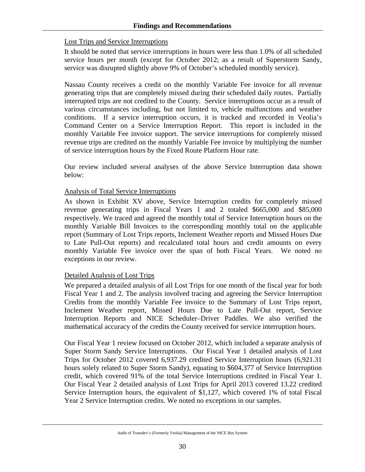## Lost Trips and Service Interruptions

It should be noted that service interruptions in hours were less than 1.0% of all scheduled service hours per month (except for October 2012; as a result of Superstorm Sandy, service was disrupted slightly above 9% of October's scheduled monthly service).

Nassau County receives a credit on the monthly Variable Fee invoice for all revenue generating trips that are completely missed during their scheduled daily routes. Partially interrupted trips are not credited to the County. Service interruptions occur as a result of various circumstances including, but not limited to, vehicle malfunctions and weather conditions. If a service interruption occurs, it is tracked and recorded in Veolia's Command Center on a Service Interruption Report. This report is included in the monthly Variable Fee invoice support. The service interruptions for completely missed revenue trips are credited on the monthly Variable Fee invoice by multiplying the number of service interruption hours by the Fixed Route Platform Hour rate.

Our review included several analyses of the above Service Interruption data shown below:

#### Analysis of Total Service Interruptions

As shown in Exhibit XV above, Service Interruption credits for completely missed revenue generating trips in Fiscal Years 1 and 2 totaled \$665,000 and \$85,000 respectively. We traced and agreed the monthly total of Service Interruption hours on the monthly Variable Bill Invoices to the corresponding monthly total on the applicable report (Summary of Lost Trips reports, Inclement Weather reports and Missed Hours Due to Late Pull-Out reports) and recalculated total hours and credit amounts on every monthly Variable Fee invoice over the span of both Fiscal Years. We noted no exceptions in our review.

## Detailed Analysis of Lost Trips

We prepared a detailed analysis of all Lost Trips for one month of the fiscal year for both Fiscal Year 1 and 2. The analysis involved tracing and agreeing the Service Interruption Credits from the monthly Variable Fee invoice to the Summary of Lost Trips report, Inclement Weather report, Missed Hours Due to Late Pull-Out report, Service Interruption Reports and NICE Scheduler–Driver Paddles. We also verified the mathematical accuracy of the credits the County received for service interruption hours.

Our Fiscal Year 1 review focused on October 2012, which included a separate analysis of Super Storm Sandy Service Interruptions. Our Fiscal Year 1 detailed analysis of Lost Trips for October 2012 covered 6,937.29 credited Service Interruption hours (6,921.31 hours solely related to Super Storm Sandy), equating to \$604,377 of Service Interruption credit, which covered 91% of the total Service Interruptions credited in Fiscal Year 1. Our Fiscal Year 2 detailed analysis of Lost Trips for April 2013 covered 13.22 credited Service Interruption hours, the equivalent of \$1,127, which covered 1% of total Fiscal Year 2 Service Interruption credits. We noted no exceptions in our samples.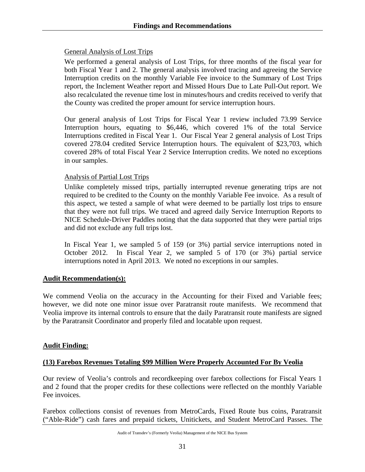#### General Analysis of Lost Trips

We performed a general analysis of Lost Trips, for three months of the fiscal year for both Fiscal Year 1 and 2. The general analysis involved tracing and agreeing the Service Interruption credits on the monthly Variable Fee invoice to the Summary of Lost Trips report, the Inclement Weather report and Missed Hours Due to Late Pull-Out report. We also recalculated the revenue time lost in minutes/hours and credits received to verify that the County was credited the proper amount for service interruption hours.

Our general analysis of Lost Trips for Fiscal Year 1 review included 73.99 Service Interruption hours, equating to \$6,446, which covered 1% of the total Service Interruptions credited in Fiscal Year 1. Our Fiscal Year 2 general analysis of Lost Trips covered 278.04 credited Service Interruption hours. The equivalent of \$23,703, which covered 28% of total Fiscal Year 2 Service Interruption credits. We noted no exceptions in our samples.

#### Analysis of Partial Lost Trips

Unlike completely missed trips, partially interrupted revenue generating trips are not required to be credited to the County on the monthly Variable Fee invoice. As a result of this aspect, we tested a sample of what were deemed to be partially lost trips to ensure that they were not full trips. We traced and agreed daily Service Interruption Reports to NICE Schedule-Driver Paddles noting that the data supported that they were partial trips and did not exclude any full trips lost.

In Fiscal Year 1, we sampled 5 of 159 (or 3%) partial service interruptions noted in October 2012. In Fiscal Year 2, we sampled 5 of 170 (or 3%) partial service interruptions noted in April 2013. We noted no exceptions in our samples.

## **Audit Recommendation(s):**

We commend Veolia on the accuracy in the Accounting for their Fixed and Variable fees; however, we did note one minor issue over Paratransit route manifests. We recommend that Veolia improve its internal controls to ensure that the daily Paratransit route manifests are signed by the Paratransit Coordinator and properly filed and locatable upon request.

## **Audit Finding:**

#### **(13) Farebox Revenues Totaling \$99 Million Were Properly Accounted For By Veolia**

Our review of Veolia's controls and recordkeeping over farebox collections for Fiscal Years 1 and 2 found that the proper credits for these collections were reflected on the monthly Variable Fee invoices.

Farebox collections consist of revenues from MetroCards, Fixed Route bus coins, Paratransit ("Able-Ride") cash fares and prepaid tickets, Unitickets, and Student MetroCard Passes. The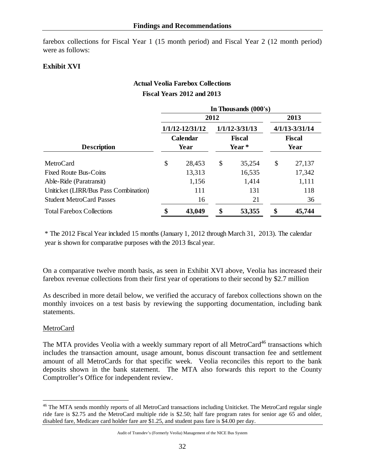farebox collections for Fiscal Year 1 (15 month period) and Fiscal Year 2 (12 month period) were as follows:

### **Exhibit XVI**

## **Actual Veolia Farebox Collections Fiscal Years 2012 and 2013**

 $\frac{1}{2}$  **I**  $(000)^{3}$ 

|                                       | In Thousands (000's)      |                     |    |                |                    |        |  |  |  |
|---------------------------------------|---------------------------|---------------------|----|----------------|--------------------|--------|--|--|--|
|                                       |                           | 2012                |    | 2013           |                    |        |  |  |  |
|                                       |                           | $1/1/12 - 12/31/12$ |    | 1/1/12-3/31/13 | $4/1/13 - 3/31/14$ |        |  |  |  |
|                                       | Calendar<br><b>Fiscal</b> |                     |    |                | <b>Fiscal</b>      |        |  |  |  |
| <b>Description</b>                    |                           | Year                |    | Year*          |                    | Year   |  |  |  |
| MetroCard                             | \$                        | 28,453              | \$ | 35,254         | \$                 | 27,137 |  |  |  |
| <b>Fixed Route Bus-Coins</b>          |                           | 13,313              |    | 16,535         |                    | 17,342 |  |  |  |
| Able-Ride (Paratransit)               |                           | 1,156               |    | 1,414          |                    | 1,111  |  |  |  |
| Uniticket (LIRR/Bus Pass Combination) |                           | 111                 |    | 131            |                    | 118    |  |  |  |
| <b>Student MetroCard Passes</b>       |                           | 16                  |    | 21             |                    | 36     |  |  |  |
| <b>Total Farebox Collections</b>      |                           | 43,049              | œ  | 53,355         | \$                 | 45,744 |  |  |  |

\* The 2012 Fiscal Year included 15 months (January 1, 2012 through March 31, 2013). The calendar year is shown for comparative purposes with the 2013 fiscal year.

On a comparative twelve month basis, as seen in Exhibit XVI above, Veolia has increased their farebox revenue collections from their first year of operations to their second by \$2.7 million

As described in more detail below, we verified the accuracy of farebox collections shown on the monthly invoices on a test basis by reviewing the supporting documentation, including bank statements.

#### MetroCard

 $\overline{a}$ 

The MTA provides Veolia with a weekly summary report of all MetroCard<sup>46</sup> transactions which includes the transaction amount, usage amount, bonus discount transaction fee and settlement amount of all MetroCards for that specific week. Veolia reconciles this report to the bank deposits shown in the bank statement. The MTA also forwards this report to the County Comptroller's Office for independent review.

<sup>&</sup>lt;sup>46</sup> The MTA sends monthly reports of all MetroCard transactions including Uniticket. The MetroCard regular single ride fare is \$2.75 and the MetroCard multiple ride is \$2.50; half fare program rates for senior age 65 and older, disabled fare, Medicare card holder fare are \$1.25, and student pass fare is \$4.00 per day.

Audit of Transdev's (Formerly Veolia) Management of the NICE Bus System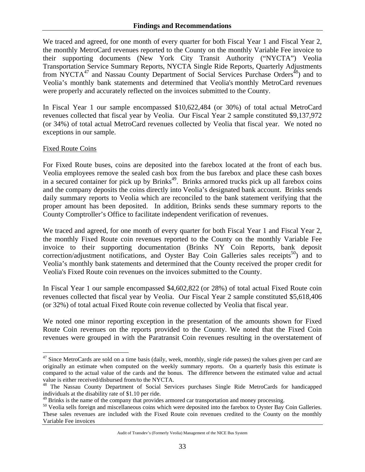We traced and agreed, for one month of every quarter for both Fiscal Year 1 and Fiscal Year 2, the monthly MetroCard revenues reported to the County on the monthly Variable Fee invoice to their supporting documents (New York City Transit Authority ("NYCTA") Veolia Transportation Service Summary Reports, NYCTA Single Ride Reports, Quarterly Adjustments from NYCTA $^{47}$  and Nassau County Department of Social Services Purchase Orders<sup>48</sup>) and to Veolia's monthly bank statements and determined that Veolia's monthly MetroCard revenues were properly and accurately reflected on the invoices submitted to the County.

In Fiscal Year 1 our sample encompassed \$10,622,484 (or 30%) of total actual MetroCard revenues collected that fiscal year by Veolia. Our Fiscal Year 2 sample constituted \$9,137,972 (or 34%) of total actual MetroCard revenues collected by Veolia that fiscal year. We noted no exceptions in our sample.

#### Fixed Route Coins

<u>.</u>

For Fixed Route buses, coins are deposited into the farebox located at the front of each bus. Veolia employees remove the sealed cash box from the bus farebox and place these cash boxes in a secured container for pick up by Brinks<sup>49</sup>. Brinks armored trucks pick up all farebox coins and the company deposits the coins directly into Veolia's designated bank account. Brinks sends daily summary reports to Veolia which are reconciled to the bank statement verifying that the proper amount has been deposited. In addition, Brinks sends these summary reports to the County Comptroller's Office to facilitate independent verification of revenues.

We traced and agreed, for one month of every quarter for both Fiscal Year 1 and Fiscal Year 2, the monthly Fixed Route coin revenues reported to the County on the monthly Variable Fee invoice to their supporting documentation (Brinks NY Coin Reports, bank deposit correction/adjustment notifications, and Oyster Bay Coin Galleries sales receipts<sup>50</sup>) and to Veolia's monthly bank statements and determined that the County received the proper credit for Veolia's Fixed Route coin revenues on the invoices submitted to the County.

In Fiscal Year 1 our sample encompassed \$4,602,822 (or 28%) of total actual Fixed Route coin revenues collected that fiscal year by Veolia. Our Fiscal Year 2 sample constituted \$5,618,406 (or 32%) of total actual Fixed Route coin revenue collected by Veolia that fiscal year.

We noted one minor reporting exception in the presentation of the amounts shown for Fixed Route Coin revenues on the reports provided to the County. We noted that the Fixed Coin revenues were grouped in with the Paratransit Coin revenues resulting in the overstatement of

 $47$  Since MetroCards are sold on a time basis (daily, week, monthly, single ride passes) the values given per card are originally an estimate when computed on the weekly summary reports. On a quarterly basis this estimate is compared to the actual value of the cards and the bonus. The difference between the estimated value and actual value is either received/disbursed from/to the NYCTA.<br><sup>48</sup> The Nassau County Department of Social Services purchases Single Ride MetroCards for handicapped

individuals at the disability rate of \$1.10 per ride.<br><sup>49</sup> Brinks is the name of the company that provides armored car transportation and money processing.

 $^{50}$  Veolia sells foreign and miscellaneous coins which were deposited into the farebox to Oyster Bay Coin Galleries. These sales revenues are included with the Fixed Route coin revenues credited to the County on the monthly Variable Fee invoices

Audit of Transdev's (Formerly Veolia) Management of the NICE Bus System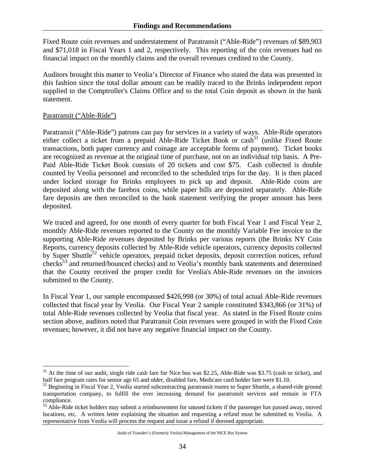Fixed Route coin revenues and understatement of Paratransit ("Able-Ride") revenues of \$89,903 and \$71,018 in Fiscal Years 1 and 2, respectively. This reporting of the coin revenues had no financial impact on the monthly claims and the overall revenues credited to the County.

Auditors brought this matter to Veolia's Director of Finance who stated the data was presented in this fashion since the total dollar amount can be readily traced to the Brinks independent report supplied to the Comptroller's Claims Office and to the total Coin deposit as shown in the bank statement.

#### Paratransit ("Able-Ride")

1

Paratransit ("Able-Ride") patrons can pay for services in a variety of ways. Able-Ride operators either collect a ticket from a prepaid Able-Ride Ticket Book or cash<sup>51</sup> (unlike Fixed Route transactions, both paper currency and coinage are acceptable forms of payment). Ticket books are recognized as revenue at the original time of purchase, not on an individual trip basis. A Pre-Paid Able-Ride Ticket Book consists of 20 tickets and cost \$75. Cash collected is double counted by Veolia personnel and reconciled to the scheduled trips for the day. It is then placed under locked storage for Brinks employees to pick up and deposit. Able-Ride coins are deposited along with the farebox coins, while paper bills are deposited separately. Able-Ride fare deposits are then reconciled to the bank statement verifying the proper amount has been deposited.

We traced and agreed, for one month of every quarter for both Fiscal Year 1 and Fiscal Year 2, monthly Able-Ride revenues reported to the County on the monthly Variable Fee invoice to the supporting Able-Ride revenues deposited by Brinks per various reports (the Brinks NY Coin Reports, currency deposits collected by Able-Ride vehicle operators, currency deposits collected by Super Shuttle<sup>52</sup> vehicle operators, prepaid ticket deposits, deposit correction notices, refund checks<sup>53</sup> and returned/bounced checks) and to Veolia's monthly bank statements and determined that the County received the proper credit for Veolia's Able-Ride revenues on the invoices submitted to the County.

In Fiscal Year 1, our sample encompassed \$426,998 (or 30%) of total actual Able-Ride revenues collected that fiscal year by Veolia. Our Fiscal Year 2 sample constituted \$343,866 (or 31%) of total Able-Ride revenues collected by Veolia that fiscal year. As stated in the Fixed Route coins section above, auditors noted that Paratransit Coin revenues were grouped in with the Fixed Coin revenues; however, it did not have any negative financial impact on the County.

<sup>&</sup>lt;sup>51</sup> At the time of our audit, single ride cash fare for Nice bus was \$2.25, Able-Ride was \$3.75 (cash or ticket), and half fare program rates for senior age 65 and older, disabled fare, Medicare card holder fare were \$1.10.<br><sup>52</sup> Beginning in Fiscal Year 2, Veolia started subcontracting paratransit routes to Super Shuttle, a shared-ride gr

transportation company, to fulfill the ever increasing demand for paratransit services and remain in FTA compliance.

<sup>&</sup>lt;sup>53</sup> Able-Ride ticket holders may submit a reimbursement for unused tickets if the passenger has passed away, moved locations, etc. A written letter explaining the situation and requesting a refund must be submitted to Veolia. A representative from Veolia will process the request and issue a refund if deemed appropriate.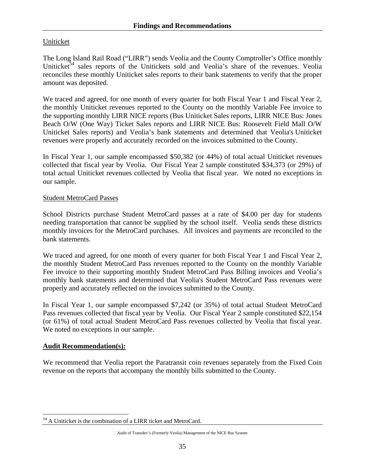## Uniticket

The Long Island Rail Road ("LIRR") sends Veolia and the County Comptroller's Office monthly Uniticket<sup>54</sup> sales reports of the Unitickets sold and Veolia's share of the revenues. Veolia reconciles these monthly Uniticket sales reports to their bank statements to verify that the proper amount was deposited.

We traced and agreed, for one month of every quarter for both Fiscal Year 1 and Fiscal Year 2, the monthly Uniticket revenues reported to the County on the monthly Variable Fee invoice to the supporting monthly LIRR NICE reports (Bus Uniticket Sales reports, LIRR NICE Bus: Jones Beach O/W (One Way) Ticket Sales reports and LIRR NICE Bus: Roosevelt Field Mall O/W Uniticket Sales reports) and Veolia's bank statements and determined that Veolia's Uniticket revenues were properly and accurately recorded on the invoices submitted to the County.

In Fiscal Year 1, our sample encompassed \$50,382 (or 44%) of total actual Uniticket revenues collected that fiscal year by Veolia. Our Fiscal Year 2 sample constituted \$34,373 (or 29%) of total actual Uniticket revenues collected by Veolia that fiscal year. We noted no exceptions in our sample.

#### Student MetroCard Passes

School Districts purchase Student MetroCard passes at a rate of \$4.00 per day for students needing transportation that cannot be supplied by the school itself. Veolia sends these districts monthly invoices for the MetroCard purchases. All invoices and payments are reconciled to the bank statements.

We traced and agreed, for one month of every quarter for both Fiscal Year 1 and Fiscal Year 2, the monthly Student MetroCard Pass revenues reported to the County on the monthly Variable Fee invoice to their supporting monthly Student MetroCard Pass Billing invoices and Veolia's monthly bank statements and determined that Veolia's Student MetroCard Pass revenues were properly and accurately reflected on the invoices submitted to the County.

In Fiscal Year 1, our sample encompassed \$7,242 (or 35%) of total actual Student MetroCard Pass revenues collected that fiscal year by Veolia. Our Fiscal Year 2 sample constituted \$22,154 (or 61%) of total actual Student MetroCard Pass revenues collected by Veolia that fiscal year. We noted no exceptions in our sample.

#### **Audit Recommendation(s):**

We recommend that Veolia report the Paratransit coin revenues separately from the Fixed Coin revenue on the reports that accompany the monthly bills submitted to the County.

 $\overline{a}$ <sup>54</sup> A Uniticket is the combination of a LIRR ticket and MetroCard.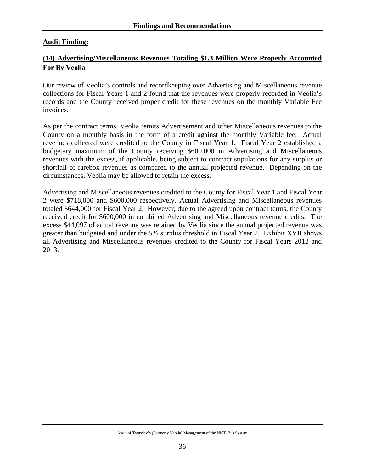## **Audit Finding:**

## **(14) Advertising/Miscellaneous Revenues Totaling \$1.3 Million Were Properly Accounted For By Veolia**

Our review of Veolia's controls and recordkeeping over Advertising and Miscellaneous revenue collections for Fiscal Years 1 and 2 found that the revenues were properly recorded in Veolia's records and the County received proper credit for these revenues on the monthly Variable Fee invoices.

As per the contract terms, Veolia remits Advertisement and other Miscellaneous revenues to the County on a monthly basis in the form of a credit against the monthly Variable fee. Actual revenues collected were credited to the County in Fiscal Year 1. Fiscal Year 2 established a budgetary maximum of the County receiving \$600,000 in Advertising and Miscellaneous revenues with the excess, if applicable, being subject to contract stipulations for any surplus or shortfall of farebox revenues as compared to the annual projected revenue. Depending on the circumstances, Veolia may be allowed to retain the excess.

Advertising and Miscellaneous revenues credited to the County for Fiscal Year 1 and Fiscal Year 2 were \$718,000 and \$600,000 respectively. Actual Advertising and Miscellaneous revenues totaled \$644,000 for Fiscal Year 2. However, due to the agreed upon contract terms, the County received credit for \$600,000 in combined Advertising and Miscellaneous revenue credits. The excess \$44,097 of actual revenue was retained by Veolia since the annual projected revenue was greater than budgeted and under the 5% surplus threshold in Fiscal Year 2. Exhibit XVII shows all Advertising and Miscellaneous revenues credited to the County for Fiscal Years 2012 and 2013.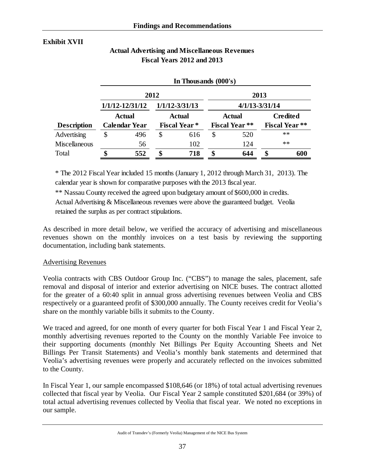## **Exhibit XVII**

|                      | In Thousands (000's)                      |               |      |                     |      |                       |                       |      |  |  |  |
|----------------------|-------------------------------------------|---------------|------|---------------------|------|-----------------------|-----------------------|------|--|--|--|
|                      |                                           |               | 2012 |                     | 2013 |                       |                       |      |  |  |  |
|                      | $1/1/12 - 12/31/12$<br>$1/1/12 - 3/31/13$ |               |      |                     |      | $4/1/13 - 3/31/14$    |                       |      |  |  |  |
|                      |                                           | <b>Actual</b> |      | <b>Actual</b>       |      | <b>Actual</b>         | <b>Credited</b>       |      |  |  |  |
| <b>Description</b>   | <b>Calendar Year</b>                      |               |      | <b>Fiscal Year*</b> |      | <b>Fiscal Year **</b> | <b>Fiscal Year **</b> |      |  |  |  |
| Advertising          | \$                                        | 496           | \$   | 616                 | \$   | 520                   |                       | $**$ |  |  |  |
| <b>Miscellaneous</b> |                                           | 56            |      | 102                 |      | 124                   |                       | $**$ |  |  |  |
| Total                | \$                                        | 552           | \$   | 718                 | \$   | 644                   | \$                    | 600  |  |  |  |

## **Actual Advertising and Miscellaneous Revenues Fiscal Years 2012 and 2013**

\* The 2012 Fiscal Year included 15 months (January 1, 2012 through March 31, 2013). The calendar year is shown for comparative purposes with the 2013 fiscal year.

\*\* Nassau County received the agreed upon budgetary amount of \$600,000 in credits.

Actual Advertising & Miscellaneous revenues were above the guaranteed budget. Veolia retained the surplus as per contract stipulations.

As described in more detail below, we verified the accuracy of advertising and miscellaneous revenues shown on the monthly invoices on a test basis by reviewing the supporting documentation, including bank statements.

## Advertising Revenues

Veolia contracts with CBS Outdoor Group Inc. ("CBS") to manage the sales, placement, safe removal and disposal of interior and exterior advertising on NICE buses. The contract allotted for the greater of a 60:40 split in annual gross advertising revenues between Veolia and CBS respectively or a guaranteed profit of \$300,000 annually. The County receives credit for Veolia's share on the monthly variable bills it submits to the County.

We traced and agreed, for one month of every quarter for both Fiscal Year 1 and Fiscal Year 2, monthly advertising revenues reported to the County on the monthly Variable Fee invoice to their supporting documents (monthly Net Billings Per Equity Accounting Sheets and Net Billings Per Transit Statements) and Veolia's monthly bank statements and determined that Veolia's advertising revenues were properly and accurately reflected on the invoices submitted to the County.

In Fiscal Year 1, our sample encompassed \$108,646 (or 18%) of total actual advertising revenues collected that fiscal year by Veolia. Our Fiscal Year 2 sample constituted \$201,684 (or 39%) of total actual advertising revenues collected by Veolia that fiscal year. We noted no exceptions in our sample.

Audit of Transdev's (Formerly Veolia) Management of the NICE Bus System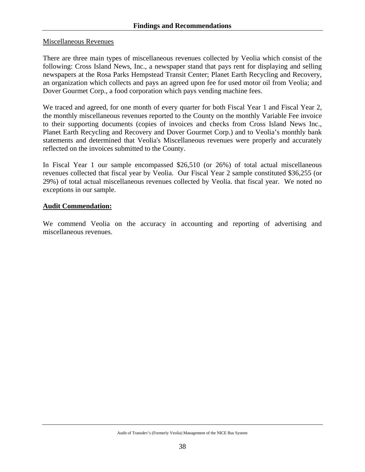#### Miscellaneous Revenues

There are three main types of miscellaneous revenues collected by Veolia which consist of the following: Cross Island News, Inc., a newspaper stand that pays rent for displaying and selling newspapers at the Rosa Parks Hempstead Transit Center; Planet Earth Recycling and Recovery, an organization which collects and pays an agreed upon fee for used motor oil from Veolia; and Dover Gourmet Corp., a food corporation which pays vending machine fees.

We traced and agreed, for one month of every quarter for both Fiscal Year 1 and Fiscal Year 2, the monthly miscellaneous revenues reported to the County on the monthly Variable Fee invoice to their supporting documents (copies of invoices and checks from Cross Island News Inc., Planet Earth Recycling and Recovery and Dover Gourmet Corp.) and to Veolia's monthly bank statements and determined that Veolia's Miscellaneous revenues were properly and accurately reflected on the invoices submitted to the County.

In Fiscal Year 1 our sample encompassed \$26,510 (or 26%) of total actual miscellaneous revenues collected that fiscal year by Veolia. Our Fiscal Year 2 sample constituted \$36,255 (or 29%) of total actual miscellaneous revenues collected by Veolia. that fiscal year. We noted no exceptions in our sample.

#### **Audit Commendation:**

We commend Veolia on the accuracy in accounting and reporting of advertising and miscellaneous revenues.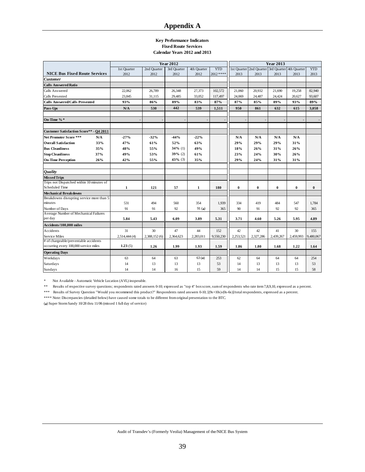#### **Appendix A**

#### **Key Performance Indicators Fixed Route Services Calendar Years 2012 and 2013**

|                                                  |     |               |               | <b>Year 2012</b> |              | <b>Year 2013</b> |           |                                                 |           |           |            |  |
|--------------------------------------------------|-----|---------------|---------------|------------------|--------------|------------------|-----------|-------------------------------------------------|-----------|-----------|------------|--|
|                                                  |     | 1st Quarter   | 2nd Quarter   | 3rd Quarter      | 4th Quarter  | <b>YTD</b>       |           | 1st Quarter 2nd Quarter 3rd Quarter 4th Quarter |           |           | <b>YTD</b> |  |
| <b>NICE Bus Fixed Route Services</b>             |     | 2012          | 2012          | 2012             | 2012         | 2012 ****        | 2013      | 2013                                            | 2013      | 2013      | 2013       |  |
| <b>Customer</b>                                  |     |               |               |                  |              |                  |           |                                                 |           |           |            |  |
| <b>Calls Answered Ratio</b>                      |     |               |               |                  |              |                  |           |                                                 |           |           |            |  |
| Calls Answered                                   |     | 22,062        | 26,789        | 26,348           | 27,373       | 102,572          | 21,060    | 20,932                                          | 21,690    | 19,258    | 82,940     |  |
| Calls Presented                                  |     | 23.845        | 31,115        | 29,485           | 33,052       | 117,497          | 24,069    | 24,487                                          | 24,424    | 20.627    | 93,607     |  |
| Calls Answered/Calls Presented                   |     | 93%           | 86%           | 89%              | 83%          | 87%              | 87%       | 85%                                             | 89%       | 93%       | 89%        |  |
| Pass-Ups                                         |     | N/A           | 530           | 442              | 539          | 1,511            | 950       | 861                                             | 632       | 615       | 3,058      |  |
| On-Time %*                                       |     |               |               |                  |              |                  |           |                                                 |           |           |            |  |
| Customer Satisfaction Score** - O4 2011          |     |               |               |                  |              |                  |           |                                                 |           |           |            |  |
| Net Promoter Score ***                           | N/A | $-27%$        | $-32%$        | $-44%$           | $-22%$       |                  | N/A       | N/A                                             | N/A       | N/A       |            |  |
| <b>Overall Satisfaction</b>                      | 33% | 47%           | 61%           | 52%              | 63%          |                  | 29%       | 29%                                             | 29%       | 31%       |            |  |
| <b>Bus Cleanliness</b>                           | 35% | 48%           | 55%           | $34\%$ (1)       | 49%          |                  | 18%       | 26%                                             | 31%       | 26%       |            |  |
| <b>Stop Cleanliness</b>                          | 37% | 49%           | 53%           | $39\%$ (2)       | 61%          |                  | 23%       | 24%                                             | 30%       | 26%       |            |  |
| <b>On-Time Perception</b>                        | 26% | 42%           | 55%           | $43%$ (3)        | 35%          |                  | 29%       | 24%                                             | 31%       | 31%       |            |  |
|                                                  |     |               |               |                  |              |                  |           |                                                 |           |           |            |  |
| <b>Ouality</b>                                   |     |               |               |                  |              |                  |           |                                                 |           |           |            |  |
| <b>Missed Trips</b>                              |     |               |               |                  |              |                  |           |                                                 |           |           |            |  |
| Trips not Dispatched within 10 minutes of        |     |               |               |                  |              |                  |           |                                                 |           |           |            |  |
| <b>Scheduled Time</b>                            |     | $\mathbf{1}$  | 121           | 57               | $\mathbf{1}$ | 180              | $\bf{0}$  | $\bf{0}$                                        | $\bf{0}$  | $\bf{0}$  | $\bf{0}$   |  |
| <b>Mechanical Breakdowns</b>                     |     |               |               |                  |              |                  |           |                                                 |           |           |            |  |
| Breakdowns disrupting service more than 5        |     |               |               |                  |              |                  |           |                                                 |           |           |            |  |
| minutes                                          |     | 531           | 494           | 560              | 354          | 1,939            | 334       | 419                                             | 484       | 547       | 1,784      |  |
| Number of Days                                   |     | 91            | 91            | 92               | 91(a)        | 365              | 90        | 91                                              | 92        | 92        | 365        |  |
| Average Number of Mechanical Failures<br>per day |     | 5.84          | 5.43          | 6.09             | 3.89         | 5.31             | 3.71      | 4.60                                            | 5.26      | 5.95      | 4.89       |  |
| Accidents/100,000 miles                          |     |               |               |                  |              |                  |           |                                                 |           |           |            |  |
| Accidents                                        |     | 31            | 30            | 47               | 44           | 152              | 42        | 42                                              | 41        | 30        | 155        |  |
| Service Miles                                    |     | 2,514,444 (4) | 2,388,152 (6) | 2,364,623        | 2,283,011    | 9,550,230        | 2,253,521 | 2,327,286                                       | 2,439,267 | 2,459,993 | 9,480,067  |  |
| # of chargeable/preventable accidents            |     |               |               |                  |              |                  |           |                                                 |           |           |            |  |
| occurring every 100,000 service miles            |     | 1.23(5)       | 1.26          | 1.99             | 1.93         | 1.59             | 1.86      | 1.80                                            | 1.68      | 1.22      | 1.64       |  |
| <b>Operating Days</b>                            |     |               |               |                  |              |                  |           |                                                 |           |           |            |  |
| Weekdays                                         |     | 63            | 64            | 63               | 63(a)        | 253              | 62        | 64                                              | 64        | 64        | 254        |  |
| Saturdays                                        |     | 14            | 13            | 13               | 13           | 53               | 14        | 13                                              | 13        | 13        | 53         |  |
| Sundays                                          |     | 14            | 14            | 16               | 15           | 59               | 14        | 14                                              | 15        | 15        | 58         |  |

\* Not Available - Automatic Vehicle Location (AVL) inoperable.

\*\* Results of respective survey questions; respondents rated answers 0-10; expressed as "top 4" box score, sum of respondents who rate item 7,8,9,10, expressed as a percent.

\*\*\* Results of Survey Question "Would you recommend this product?" Respondents rated answers 0-10; [(9s+10s)-(0s-6s)]/total respondents, expressed as a percent.

\*\*\*\* Note: Discrepancies (detailed below) have caused some totals to be different from original presentation to the BTC.

(**a**) Super Storm Sandy 10/28 thru 11/06 (missed 1 full day of service)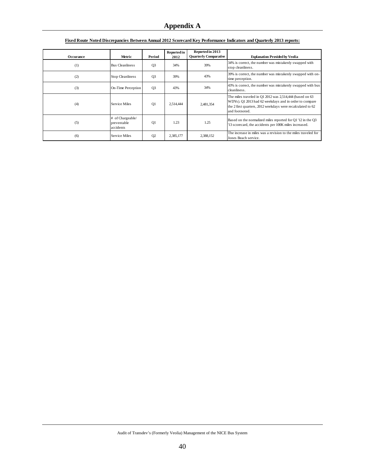| <b>Occurance</b> | Metric                                       | Period         | Reported in<br>2012 | Reported in 2013<br><b>Quarterly Comparative</b> | <b>Explanation Provided by Veolia</b>                                                                                                                                                                 |
|------------------|----------------------------------------------|----------------|---------------------|--------------------------------------------------|-------------------------------------------------------------------------------------------------------------------------------------------------------------------------------------------------------|
| (1)              | <b>Bus Cleanliness</b>                       | O <sub>3</sub> | 34%                 | 39%                                              | 34% is correct, the number was mistakenly swapped with<br>stop cleanliness.                                                                                                                           |
| (2)              | <b>Stop Cleanliness</b>                      | Q <sub>3</sub> | 39%                 | 43%                                              | 39% is correct, the number was mistakenly swapped with on-<br>time perception.                                                                                                                        |
| (3)              | On-Time Perception                           | O <sub>3</sub> | 43%                 | 34%                                              | 43% is correct, the number was mistakenly swapped with bus<br>cleanliness.                                                                                                                            |
| (4)              | <b>Service Miles</b>                         | Q1             | 2.514.444           | 2,481,354                                        | The miles traveled in $Q1 2012$ was 2,514,444 (based on 63<br>WDYs). Q1 2013 had 62 weekdays and in order to compare<br>the 2 first quarters, 2012 weekdays were recalculated to 62<br>and footnoted. |
| (5)              | # of Chargeable/<br>preventable<br>accidents | O <sub>1</sub> | 1.23                | 1.25                                             | Based on the normalized miles reported for Q1 '12 in the Q3<br>'13 scorecard, the accidents per 100K miles increased.                                                                                 |
| (6)              | Service Miles                                | Q <sub>2</sub> | 2,385,177           | 2,388,152                                        | The increase in miles was a revision to the miles traveled for<br>Jones Beach service.                                                                                                                |

#### **Fixed Route Noted Discrepancies Between Annual 2012 Scorecard Key Performance Indicators and Quarterly 2013 reports:**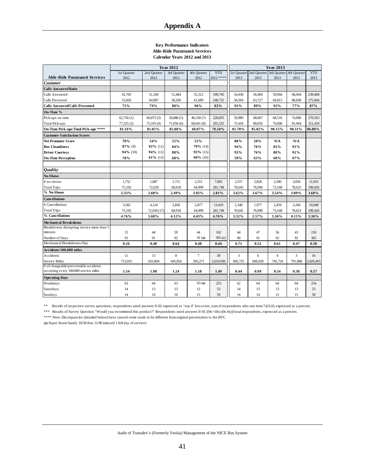#### **Key Performance Indicators Able-Ride Paratransit Services Calendar Years 2012 and 2013**

|                                           |             |             | <b>Year 2013</b> |             |            |         |                                     |                |             |            |
|-------------------------------------------|-------------|-------------|------------------|-------------|------------|---------|-------------------------------------|----------------|-------------|------------|
|                                           | 1st Quarter | 2nd Quarter | 3rd Quarter      | 4th Quarter | <b>YTD</b> |         | 1st Quarter 2nd Quarter 3rd Quarter |                | 4th Quarter | <b>YTD</b> |
| <b>Able-Ride Paratransit Services</b>     | 2012        | 2012        | 2012             | 2012        | 2012 ****  | 2013    | 2013                                | 2013           | 2013        | 2013       |
| Customer                                  |             |             |                  |             |            |         |                                     |                |             |            |
| <b>Calls Answered Ratio</b>               |             |             |                  |             |            |         |                                     |                |             |            |
| Calls Answered                            | 41,765      | 51,184      | 51,484           | 55,312      | 199,745    | 54,430  | 56,400                              | 59,944         | 68,694      | 239,468    |
| Calls Presented                           | 55,856      | 64,987      | 58,200           | 61,689      | 240,732    | 58,364  | 63,727                              | 64,915         | 88,838      | 275,844    |
| Calls Answered/Calls Presented            | 75%         | 79%         | 88%              | 90%         | 83%        | 93%     | 89%                                 | 92%            | 77%         | 87%        |
| On-Time %                                 |             |             |                  |             |            |         |                                     |                |             |            |
| Pick-ups on time                          | 62,756(1)   | 60,873(3)   | 58,888 (5)       | 46,318 (7)  | 228,835    | 59,980  | 68,067                              | 68,516         | 74,000      | 270,563    |
| <b>Total Pick-ups</b>                     | 77,325 (2)  | 75,103(4)   | 71,056(6)        | 68,041 (8)  | 291,525    | 73,418  | 80,056                              | 76,000         | 81,944      | 311,418    |
| On-Time Pick-ups/Total Pick-ups ****      | 81.16%      | 81.05%      | 82.88%           | 68.07%      | 78.50%     | 81.70%  | 85.02%                              | 90.15%         | 90.31%      | 86.88%     |
| <b>Customer Satisfaction Scores</b>       |             |             |                  |             |            |         |                                     |                |             |            |
| <b>Net Promoter Score</b>                 | 78%         | 54%         | 55%              | 52%         |            | 88%     | 20%                                 | N/A            | N/A         |            |
| <b>Bus Cleanliness</b>                    | $87\%$ (9)  | $92\%$ (11) | 84%              | 79% (14)    |            | 94%     | 76%                                 | 81%            | 91%         |            |
| <b>Driver Courtesy</b>                    | 94% (10)    | 94% (12)    | 88%              | 93% (15)    |            | 93%     | 76%                                 | 80%            | 91%         |            |
| <b>On-Time Perception</b>                 | 78%         | $61\%$ (13) | 68%              | 68% (16)    |            | 59%     | 63%                                 | 68%            | 67%         |            |
| Quality                                   |             |             |                  |             |            |         |                                     |                |             |            |
| <b>No-Shows</b>                           |             |             |                  |             |            |         |                                     |                |             |            |
| # no-shows                                | 1,752       | 1,887       | 1,715            | 2,551       | 7,905      | 2,557   | 2,828                               | 2,590          | 3,056       | 11,031     |
| <b>Total Trips</b>                        | 75,192      | 72,639      | 68.918           | 64.999      | 281,748    | 70,645  | 76,990                              | 73,168         | 78.623      | 299,426    |
| % No-Shows                                | 2.33%       | 2.60%       | 2.49%            | 3.92%       | 2.81%      | 3.62%   | 3.67%                               | 3.54%          | 3.89%       | 3.68%      |
| <b>Cancellations</b>                      |             |             |                  |             |            |         |                                     |                |             |            |
| # Cancellations                           | 3,582       | 4,124       | 2,836            | 2,877       | 13,419     | 2,348   | 1,977                               | 2,459          | 3,264       | 10,048     |
| <b>Total Trips</b>                        | 75.192      | 72,639 (17) | 68,918           | 64,999      | 281,748    | 70.645  | 76,990                              | 73,168         | 78.623      | 299,426    |
| % Cancellations                           | 4.76%       | 5.68%       | 4.12%            | 4.43%       | 4.76%      | 3.32%   | 2.57%                               | 3.36%          | 4.15%       | 3.36%      |
| <b>Mechanical Breakdowns</b>              |             |             |                  |             |            |         |                                     |                |             |            |
| Breakdowns disrupting service more than 5 |             |             |                  |             |            |         |                                     |                |             |            |
| minutes                                   | 15          | 44          | 59               | 44          | 162        | 64      | 47                                  | 56             | 43          | 210        |
| Number of Days                            | 91          | 91          | 92               | 91(a)       | 365(a)     | 90      | 91                                  | 92             | 92          | 365        |
| Mechanical Breakdowns/Day                 | 0.16        | 0.48        | 0.64             | 0.48        | 0.44       | 0.71    | 0.52                                | 0.61           | 0.47        | 0.58       |
| Accidents/100,000 miles                   |             |             |                  |             |            |         |                                     |                |             |            |
| Accidents                                 | 11          | 13          | 8                | $\tau$      | 39         | 3       | 6                                   | $\overline{4}$ | 3           | 16         |
| Service Miles                             | 713,915     | 655,894     | 645,856          | 595,271     | 2,610,936  | 685,725 | 606,928                             | 745,724        | 791,088     | 2,829,465  |
| # of chargeable/preventable accidents     |             |             |                  |             |            |         |                                     |                |             |            |
| occurring every 100,000 service miles     | 1.54        | 1.98        | 1.24             | 1.18        | 1.49       | 0.44    | 0.99                                | 0.54           | 0.38        | 0.57       |
| <b>Operating Days</b>                     |             |             |                  |             |            |         |                                     |                |             |            |
| Weekdays                                  | 63          | 64          | 63               | 63(a)       | 253        | 62      | 64                                  | 64             | 64          | 254        |
| Saturdays                                 | 14          | 13          | 13               | 13          | 53         | 14      | 13                                  | 13             | 13          | 53         |
| Sundays                                   | 14          | 14          | 16               | 15          | 59         | 14      | 14                                  | 15             | 15          | 58         |

\*\* Results of respective survey questions; respondents rated answers 0-10; expressed as "top 4" box score, sum of respondents who rate item 7,8,9,10, expressed as a percent.

\*\*\* Results of Survey Question "Would you recommend this product?" Respondents rated answers 0-10; [(9s+10s)-(0s-6s)]/total respondents, expressed as a percent.

\*\*\*\* Note: Discrepancies (detailed below) have caused some totals to be different from original presentation to the BTC.

(**a**) Super Storm Sandy 10/28 thru 11/06 (missed 1 full day of service)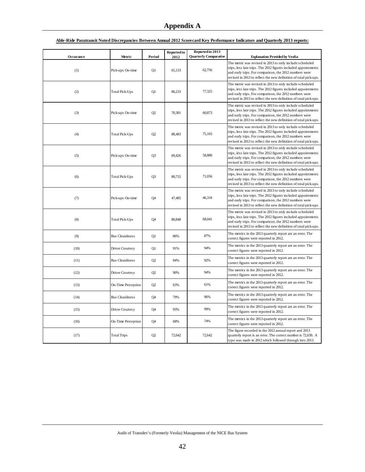|           |                        |                | Reported in | Reported in 2013             |                                                                                                                                                                                                                                                          |
|-----------|------------------------|----------------|-------------|------------------------------|----------------------------------------------------------------------------------------------------------------------------------------------------------------------------------------------------------------------------------------------------------|
| Occurance | Metric                 | Period         | 2012        | <b>Quarterly Comparative</b> | <b>Explanation Provided by Veolia</b>                                                                                                                                                                                                                    |
| (1)       | Pick-ups On-time       | Q1             | 65,133      | 62,756                       | The metric was revised in 2013 to only include scheduled<br>trips, less late trips. The 2012 figures included appointments<br>and early trips. For comparison, the 2012 numbers were<br>revised in 2013 to reflect the new definition of total pick-ups. |
| (2)       | Total Pick-Ups         | Q1             | 86,233      | 77,325                       | The metric was revised in 2013 to only include scheduled<br>trips, less late trips. The 2012 figures included appointments<br>and early trips. For comparison, the 2012 numbers were<br>revised in 2013 to reflect the new definition of total pick-ups. |
| (3)       | Pick-ups On-time       | Q2             | 70,381      | 60,873                       | The metric was revised in 2013 to only include scheduled<br>trips, less late trips. The 2012 figures included appointments<br>and early trips. For comparison, the 2012 numbers were<br>revised in 2013 to reflect the new definition of total pick-ups. |
| (4)       | <b>Total Pick-Ups</b>  | Q2             | 88,483      | 75,103                       | The metric was revised in 2013 to only include scheduled<br>trips, less late trips. The 2012 figures included appointments<br>and early trips. For comparison, the 2012 numbers were<br>revised in 2013 to reflect the new definition of total pick-ups. |
| (5)       | Pick-ups On-time       | Q <sub>3</sub> | 69,426      | 58,888                       | The metric was revised in 2013 to only include scheduled<br>trips, less late trips. The 2012 figures included appointments<br>and early trips. For comparison, the 2012 numbers were<br>revised in 2013 to reflect the new definition of total pick-ups. |
| (6)       | <b>Total Pick-Ups</b>  | O <sub>3</sub> | 80,755      | 71,056                       | The metric was revised in 2013 to only include scheduled<br>trips, less late trips. The 2012 figures included appointments<br>and early trips. For comparison, the 2012 numbers were<br>revised in 2013 to reflect the new definition of total pick-ups. |
| (7)       | Pick-ups On-time       | Q4             | 47,485      | 46,318                       | The metric was revised in 2013 to only include scheduled<br>trips, less late trips. The 2012 figures included appointments<br>and early trips. For comparison, the 2012 numbers were<br>revised in 2013 to reflect the new definition of total pick-ups. |
| (8)       | <b>Total Pick-Ups</b>  | <b>O4</b>      | 80,848      | 68,041                       | The metric was revised in 2013 to only include scheduled<br>trips, less late trips. The 2012 figures included appointments<br>and early trips. For comparison, the 2012 numbers were<br>revised in 2013 to reflect the new definition of total pick-ups. |
| (9)       | <b>Bus Cleanliness</b> | O1             | 86%         | 87%                          | The metrics in the 2013 quarterly report are an error. The<br>correct figures were reported in 2012.                                                                                                                                                     |
| (10)      | Driver Courtesy        | Q1             | 91%         | 94%                          | The metrics in the 2013 quarterly report are an error. The<br>correct figures were reported in 2012.                                                                                                                                                     |
| (11)      | <b>Bus Cleanliness</b> | Q2             | 84%         | 92%                          | The metrics in the 2013 quarterly report are an error. The<br>correct figures were reported in 2012.                                                                                                                                                     |
| (12)      | Driver Courtesy        | Q2             | 90%         | 94%                          | The metrics in the 2013 quarterly report are an error. The<br>correct figures were reported in 2012.                                                                                                                                                     |
| (13)      | On-Time Perception     | O <sub>2</sub> | 63%         | 61%                          | The metrics in the 2013 quarterly report are an error. The<br>correct figures were reported in 2012.                                                                                                                                                     |
| (14)      | <b>Bus Cleanliness</b> | <b>O4</b>      | 79%         | 96%                          | The metrics in the 2013 quarterly report are an error. The<br>correct figures were reported in 2012.                                                                                                                                                     |
| (15)      | Driver Courtesy        | Q4             | 93%         | 99%                          | The metrics in the 2013 quarterly report are an error. The<br>correct figures were reported in 2012.                                                                                                                                                     |
| (16)      | On-Time Perception     | Q4             | 68%         | 74%                          | The metrics in the 2013 quarterly report are an error. The<br>correct figures were reported in 2012.                                                                                                                                                     |
| (17)      | <b>Total Trips</b>     | Q2             | 72,642      | 72,642                       | The figure recorded in the 2012 annual report and 2013<br>quarterly report is an error. The correct number is 72,639. A<br>typo was made in 2012 which followed through into 2013.                                                                       |

#### **Able-Ride Paratransit Noted Discrepancies Between Annual 2012 Scorecard Key Performance Indicators and Quarterly 2013 reports:**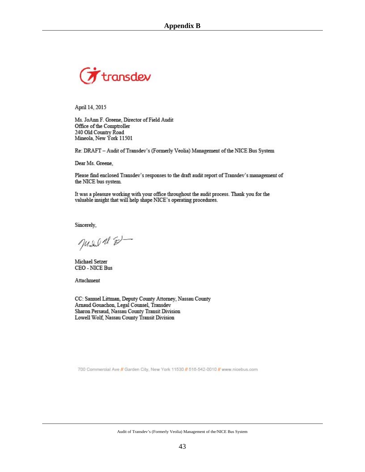

April 14, 2015

Ms. JoAnn F. Greene, Director of Field Audit Office of the Comptroller 240 Old Country Road Mineola, New York 11501

Re: DRAFT - Audit of Transdev's (Formerly Veolia) Management of the NICE Bus System

Dear Ms. Greene,

Please find enclosed Transdev's responses to the draft audit report of Transdev's management of the NICE bus system.

It was a pleasure working with your office throughout the audit process. Thank you for the valuable insight that will help shape NICE's operating procedures.

Sincerely,

July 18 8-

Michael Setzer **CEO - NICE Bus** 

Attachment

CC: Samuel Littman, Deputy County Attorney, Nassau County Arnaud Gouachon, Legal Counsel, Transdev Sharon Persaud, Nassau County Transit Division Lowell Wolf, Nassau County Transit Division

700 Commercial Ave // Garden City, New York 11530 // 516-542-0010 // www.nicebus.com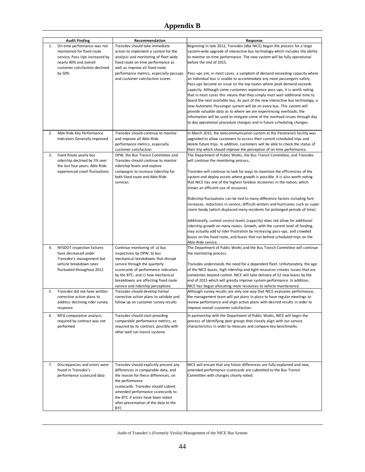## **Appendix B**

|    | <b>Audit Finding</b>                                                                                                | Recommendation                                                                                                                                                                                                                                                                                                  | Response                                                                                                                                                                                                                                                                                                                                                                                                                                                                                                                                                                                                                                                                                                |
|----|---------------------------------------------------------------------------------------------------------------------|-----------------------------------------------------------------------------------------------------------------------------------------------------------------------------------------------------------------------------------------------------------------------------------------------------------------|---------------------------------------------------------------------------------------------------------------------------------------------------------------------------------------------------------------------------------------------------------------------------------------------------------------------------------------------------------------------------------------------------------------------------------------------------------------------------------------------------------------------------------------------------------------------------------------------------------------------------------------------------------------------------------------------------------|
| 1. | On-time performance was not<br>maintained for fixed route                                                           | Transdev should take immediate<br>action to implement a system for the                                                                                                                                                                                                                                          | Beginning in late 2012, Transdev (dba NICE) began the process for a large<br>system-wide upgrade of interactive bus technology which includes the ability                                                                                                                                                                                                                                                                                                                                                                                                                                                                                                                                               |
|    | service; Pass-Ups increased by<br>nearly 40% and overall<br>customer satisfaction declined<br>by 50%                | analysis and monitoring of fleet wide<br>fixed route on-time performance as<br>well as improve all fixed route<br>performance metrics, especially passups                                                                                                                                                       | to monitor on-time performance. The new system will be fully operational<br>before the end of 2015.<br>Pass-ups are, in most cases, a symptom of demand exceeding capacity where                                                                                                                                                                                                                                                                                                                                                                                                                                                                                                                        |
|    |                                                                                                                     | and customer satisfaction scores                                                                                                                                                                                                                                                                                | an individual bus is unable to accommodate any more passengers safely.<br>Pass-ups become an issue on the top routes where peak demand exceeds<br>capacity. Although some customers experience pass-ups, it is worth noting<br>that in most cases this means that they simply must wait additional time to<br>board the next available bus. As part of the new interactive bus technology, a<br>new Automatic Passenger system will be on every bus. This system will<br>provide valuable data as to where we are experiencing overloads; the<br>information will be used to mitigate some of the overload issues through day<br>to day operational procedure changes and in future scheduling changes. |
| 2. | Able-Ride Key Performance<br>Indicators Generally Improved                                                          | Transdev should continue to monitor<br>and improve all Able-Ride<br>performance metrics, especially<br>customer satisfaction                                                                                                                                                                                    | In March 2015, the telecommunication system at the Paratransit facility was<br>upgraded to allow customers to access their current scheduled trips and<br>delete future trips. In addition, customers will be able to check the status of<br>their trip which should improve the perception of on time performance.                                                                                                                                                                                                                                                                                                                                                                                     |
| 3. | Fixed Route yearly bus<br>ridership declined by 5% over<br>the last four years; Able-Ride                           | DPW, the Bus Transit Committee and<br>Transdev should continue to monitor<br>ridership levels and explore                                                                                                                                                                                                       | The Department of Public Works, the Bus Transit Committee, and Transdev<br>will continue the monitoring process.                                                                                                                                                                                                                                                                                                                                                                                                                                                                                                                                                                                        |
|    | experienced small fluctuations<br>campaigns to increase ridership for<br>both fixed route and Able-Ride<br>services |                                                                                                                                                                                                                                                                                                                 | Transdev will continue to look for ways to maximize the efficiencies of the<br>system and deploy assets where growth is possible. It is also worth noting<br>that NICE has one of the highest farebox recoveries in the nation, which<br>shows an efficient use of resources.                                                                                                                                                                                                                                                                                                                                                                                                                           |
|    |                                                                                                                     |                                                                                                                                                                                                                                                                                                                 | Ridership fluctuations can be tied to many difference factors including fare<br>increases, reductions in service, difficult winters and hurricanes such as super<br>storm Sandy (which displaced many residents for prolonged periods of time).                                                                                                                                                                                                                                                                                                                                                                                                                                                         |
|    |                                                                                                                     |                                                                                                                                                                                                                                                                                                                 | Additionally, current service levels (capacity) does not allow for additional<br>ridership growth on many routes. Growth, with the current level of funding,<br>may actually add to rider frustration by increasing pass-ups, and crowded<br>buses on the fixed route, and buses that run behind scheduled trips on the<br>Able-Ride service.                                                                                                                                                                                                                                                                                                                                                           |
| 4. | NYSDOT inspection failures<br>have decreased under<br>Transdev's management but<br>vehicle breakdown rates          | Continue monitoring of: a) bus<br>inspections by DPW; b) bus<br>mechanical breakdowns that disrupt<br>service through the quarterly                                                                                                                                                                             | The Department of Public Works and the Bus Transit Committee will continue<br>the monitoring process.<br>Transdev understands the need for a dependent fleet. Unfortunately, the age                                                                                                                                                                                                                                                                                                                                                                                                                                                                                                                    |
|    | fluctuated throughout 2012                                                                                          | scorecards of performance indicators<br>by the BTC; and c) how mechanical<br>breakdowns are affecting fixed route<br>service and ridership perceptions                                                                                                                                                          | of the NICE buses, high ridership and tight resources creates issues that are<br>sometimes beyond control. NICE will take delivery of 52 new buses by the<br>end of 2015 which will greatly improve system performance. In addition,<br>NICE has begun allocating more resources to vehicle maintenance.                                                                                                                                                                                                                                                                                                                                                                                                |
| 5. | Transdev did not have written<br>corrective action plans to<br>address declining rider survey<br>response           | Transdev should develop formal<br>corrective action plans to validate and<br>follow up on customer survey results                                                                                                                                                                                               | Although survey results are only one way that NICE evaluates performance,<br>the management team will put plans in place to have regular meetings to<br>review performance and align action plans with desired results in order to<br>improve overall customer satisfaction.                                                                                                                                                                                                                                                                                                                                                                                                                            |
| 6. | MTA comparative analysis<br>required by contract was not<br>performed                                               | Transdev should start providing<br>comparable performance metrics, as<br>required by its contract, possibly with<br>other well run transit systems                                                                                                                                                              | In partnership with the Department of Public Works, NICE will begin the<br>process of identifying peer groups that closely align with our service<br>characteristics in order to measure and compare key benchmarks.                                                                                                                                                                                                                                                                                                                                                                                                                                                                                    |
| 7. | Discrepancies and errors were<br>found in Transdev's<br>performance scorecard data                                  | Transdev should explicitly present any<br>differences in comparable data, and<br>the reason for these differences, on<br>the performance<br>scorecards. Transdev should submit<br>amended performance scorecards to<br>the BTC if errors have been noted<br>after presentation of the data to the<br><b>BTC</b> | NICE will ensure that any future differences are fully explained and new,<br>amended performance scorecards are submitted to the Bus Transit<br>Committee with changes clearly noted.                                                                                                                                                                                                                                                                                                                                                                                                                                                                                                                   |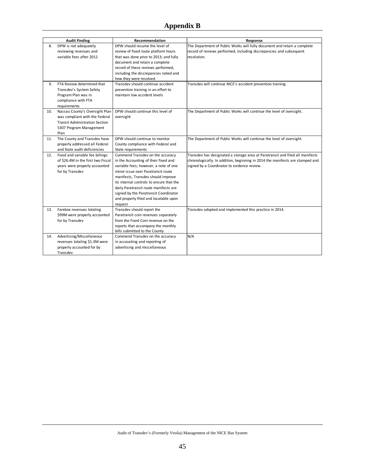|     | <b>Audit Finding</b><br>Recommendation |                                          | Response                                                                      |
|-----|----------------------------------------|------------------------------------------|-------------------------------------------------------------------------------|
| 8.  | DPW is not adequately                  | DPW should resume the level of           | The Department of Public Works will fully document and retain a complete      |
|     | reviewing revenues and                 | review of fixed route platform hours     | record of reviews performed, including discrepancies and subsequent           |
|     | variable fees after 2012               | that was done prior to 2013; and fully   | resolution.                                                                   |
|     |                                        | document and retain a complete           |                                                                               |
|     |                                        | record of these reviews performed,       |                                                                               |
|     |                                        | including the discrepancies noted and    |                                                                               |
|     |                                        | how they were resolved                   |                                                                               |
| 9.  | FTA Review determined that             | Transdev should continue accident        | Transdev will continue NICE's accident prevention training.                   |
|     | Transdev's System Safety               | prevention training in an effort to      |                                                                               |
|     | Program Plan was in                    | maintain low accident levels             |                                                                               |
|     | compliance with FTA                    |                                          |                                                                               |
|     | requirements                           |                                          |                                                                               |
| 10. | Nassau County's Oversight Plan         | DPW should continue this level of        | The Department of Public Works will continue the level of oversight.          |
|     | was compliant with the Federal         | oversight                                |                                                                               |
|     | <b>Transit Administration Section</b>  |                                          |                                                                               |
|     | 5307 Program Management                |                                          |                                                                               |
|     | Plan                                   |                                          |                                                                               |
| 11. | The County and Transdev have           | DPW should continue to monitor           | The Department of Public Works will continue the level of oversight.          |
|     | properly addressed all Federal         | County compliance with Federal and       |                                                                               |
|     | and State audit deficiencies           | State requirements                       |                                                                               |
| 12. | Fixed and variable fee billings        | Commend Transdev on the accuracy         | Transdev has designated a storage area at Paratransit and filed all manifests |
|     | of \$26.4M in the first two Fiscal     | in the Accounting of their fixed and     | chronologically. In addition, beginning in 2014 the manifests are stamped and |
|     | years were properly accounted          | variable fees; however, a note of one    | signed by a Coordinator to evidence review.                                   |
|     | for by Transdev                        | minor issue over Paratransit route       |                                                                               |
|     |                                        | manifests, Transdev should improve       |                                                                               |
|     |                                        | its internal controls to ensure that the |                                                                               |
|     |                                        | daily Paratransit route manifests are    |                                                                               |
|     |                                        | signed by the Paratransit Coordinator    |                                                                               |
|     |                                        | and properly filed and locatable upon    |                                                                               |
|     |                                        | request                                  |                                                                               |
| 13. | Farebox revenues totaling              | Transdev should report the               | Transdev adopted and implemented this practice in 2014.                       |
|     | \$99M were properly accounted          | Paratransit coin revenues separately     |                                                                               |
|     | for by Transdev                        | from the Fixed Coin revenue on the       |                                                                               |
|     |                                        | reports that accompany the monthly       |                                                                               |
|     |                                        | bills submitted to the County            |                                                                               |
| 14. | Advertising/Miscellaneous              | Commend Transdev on the accuracy         | N/A                                                                           |
|     | revenues totaling \$1.3M were          | in accounting and reporting of           |                                                                               |
|     | properly accounted for by              | advertising and miscellaneous            |                                                                               |
|     | Transdev                               |                                          |                                                                               |